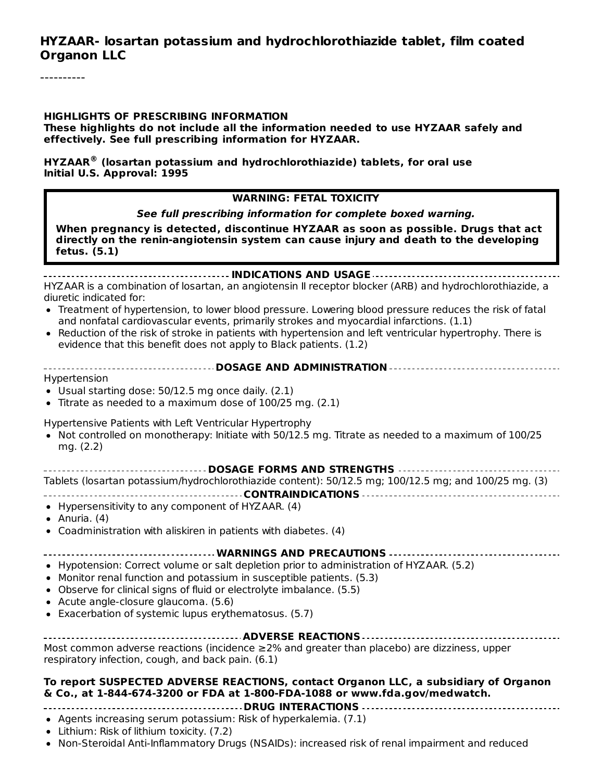#### **HYZAAR- losartan potassium and hydrochlorothiazide tablet, film coated Organon LLC**

#### **HIGHLIGHTS OF PRESCRIBING INFORMATION**

**These highlights do not include all the information needed to use HYZAAR safely and effectively. See full prescribing information for HYZAAR.**

**HYZAAR (losartan potassium and hydrochlorothiazide) tablets, for oral use ®Initial U.S. Approval: 1995**

#### **WARNING: FETAL TOXICITY**

**See full prescribing information for complete boxed warning.**

**When pregnancy is detected, discontinue HYZAAR as soon as possible. Drugs that act directly on the renin-angiotensin system can cause injury and death to the developing fetus. (5.1)**

**INDICATIONS AND USAGE** HYZAAR is a combination of losartan, an angiotensin II receptor blocker (ARB) and hydrochlorothiazide, a diuretic indicated for:

- Treatment of hypertension, to lower blood pressure. Lowering blood pressure reduces the risk of fatal and nonfatal cardiovascular events, primarily strokes and myocardial infarctions. (1.1)
- Reduction of the risk of stroke in patients with hypertension and left ventricular hypertrophy. There is  $\bullet$ evidence that this benefit does not apply to Black patients. (1.2)
- **DOSAGE AND ADMINISTRATION**

Hypertension

- Usual starting dose: 50/12.5 mg once daily. (2.1)
- Titrate as needed to a maximum dose of 100/25 mg. (2.1)

Hypertensive Patients with Left Ventricular Hypertrophy

• Not controlled on monotherapy: Initiate with 50/12.5 mg. Titrate as needed to a maximum of 100/25 mg. (2.2)

**DOSAGE FORMS AND STRENGTHS**

Tablets (losartan potassium/hydrochlorothiazide content): 50/12.5 mg; 100/12.5 mg; and 100/25 mg. (3)

**CONTRAINDICATIONS**

- Hypersensitivity to any component of HYZAAR. (4)
- Anuria.  $(4)$
- Coadministration with aliskiren in patients with diabetes. (4)

**WARNINGS AND PRECAUTIONS**

- Hypotension: Correct volume or salt depletion prior to administration of HYZAAR. (5.2)
- Monitor renal function and potassium in susceptible patients. (5.3)
- Observe for clinical signs of fluid or electrolyte imbalance. (5.5)
- Acute angle-closure glaucoma. (5.6)
- Exacerbation of systemic lupus erythematosus. (5.7)

| Most common adverse reactions (incidence $\geq$ 2% and greater than placebo) are dizziness, upper |  |  |  |  |  |  |
|---------------------------------------------------------------------------------------------------|--|--|--|--|--|--|
| respiratory infection, cough, and back pain. (6.1)                                                |  |  |  |  |  |  |

#### **To report SUSPECTED ADVERSE REACTIONS, contact Organon LLC, a subsidiary of Organon & Co., at 1-844-674-3200 or FDA at 1-800-FDA-1088 or www.fda.gov/medwatch.**

#### **DRUG INTERACTIONS**

- Agents increasing serum potassium: Risk of hyperkalemia.  $(7.1)$
- Lithium: Risk of lithium toxicity. (7.2)
- Non-Steroidal Anti-Inflammatory Drugs (NSAIDs): increased risk of renal impairment and reduced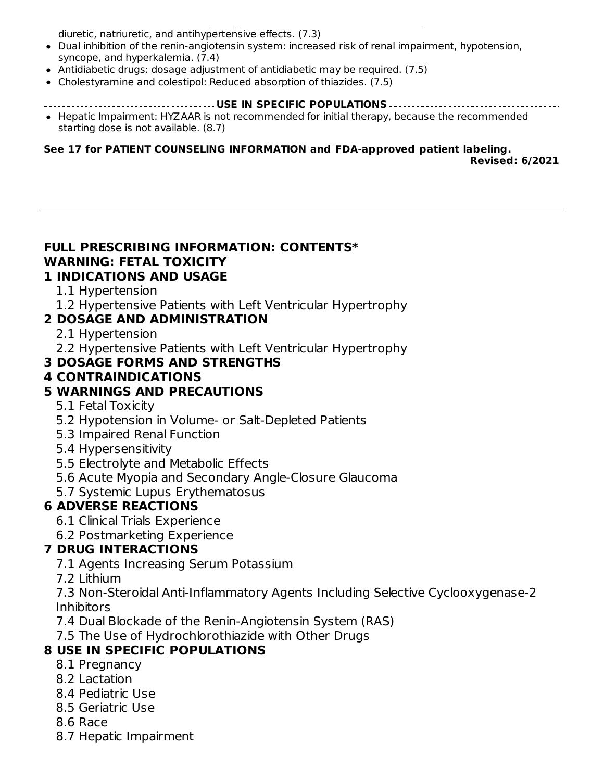Non-Steroidal Anti-Inflammatory Drugs (NSAIDs): increased risk of renal impairment and reduced diuretic, natriuretic, and antihypertensive effects. (7.3)

- Dual inhibition of the renin-angiotensin system: increased risk of renal impairment, hypotension, syncope, and hyperkalemia. (7.4)
- Antidiabetic drugs: dosage adjustment of antidiabetic may be required. (7.5)
- Cholestyramine and colestipol: Reduced absorption of thiazides. (7.5)

#### **USE IN SPECIFIC POPULATIONS**

• Hepatic Impairment: HYZAAR is not recommended for initial therapy, because the recommended starting dose is not available. (8.7)

**See 17 for PATIENT COUNSELING INFORMATION and FDA-approved patient labeling. Revised: 6/2021**

### **FULL PRESCRIBING INFORMATION: CONTENTS\* WARNING: FETAL TOXICITY**

#### **1 INDICATIONS AND USAGE**

- 1.1 Hypertension
- 1.2 Hypertensive Patients with Left Ventricular Hypertrophy

#### **2 DOSAGE AND ADMINISTRATION**

- 2.1 Hypertension
- 2.2 Hypertensive Patients with Left Ventricular Hypertrophy

#### **3 DOSAGE FORMS AND STRENGTHS**

#### **4 CONTRAINDICATIONS**

#### **5 WARNINGS AND PRECAUTIONS**

- 5.1 Fetal Toxicity
- 5.2 Hypotension in Volume- or Salt-Depleted Patients
- 5.3 Impaired Renal Function
- 5.4 Hypersensitivity
- 5.5 Electrolyte and Metabolic Effects
- 5.6 Acute Myopia and Secondary Angle-Closure Glaucoma
- 5.7 Systemic Lupus Erythematosus

### **6 ADVERSE REACTIONS**

- 6.1 Clinical Trials Experience
- 6.2 Postmarketing Experience

#### **7 DRUG INTERACTIONS**

- 7.1 Agents Increasing Serum Potassium
- 7.2 Lithium

7.3 Non-Steroidal Anti-Inflammatory Agents Including Selective Cyclooxygenase-2 Inhibitors

- 7.4 Dual Blockade of the Renin-Angiotensin System (RAS)
- 7.5 The Use of Hydrochlorothiazide with Other Drugs

### **8 USE IN SPECIFIC POPULATIONS**

- 8.1 Pregnancy
- 8.2 Lactation
- 8.4 Pediatric Use
- 8.5 Geriatric Use
- 8.6 Race
- 8.7 Hepatic Impairment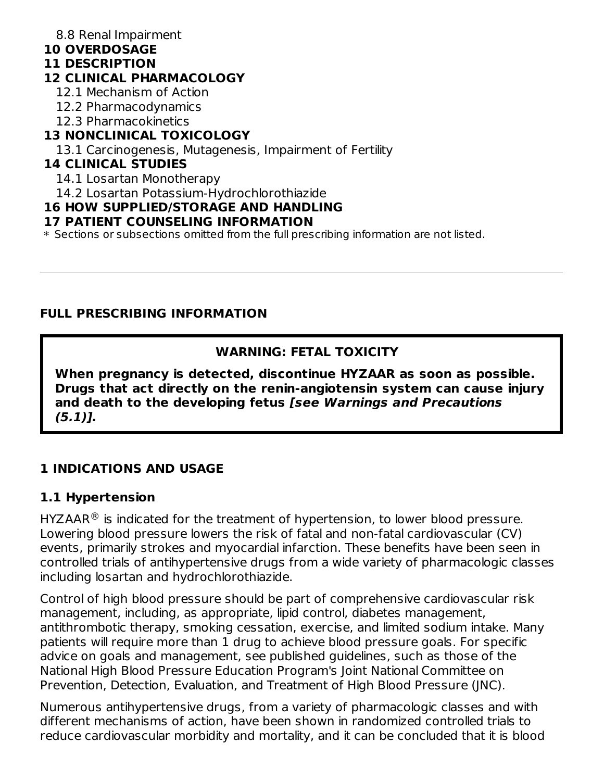8.8 Renal Impairment

#### **10 OVERDOSAGE**

#### **11 DESCRIPTION**

#### **12 CLINICAL PHARMACOLOGY**

- 12.1 Mechanism of Action
- 12.2 Pharmacodynamics
- 12.3 Pharmacokinetics

### **13 NONCLINICAL TOXICOLOGY**

13.1 Carcinogenesis, Mutagenesis, Impairment of Fertility

### **14 CLINICAL STUDIES**

- 14.1 Losartan Monotherapy
- 14.2 Losartan Potassium-Hydrochlorothiazide

#### **16 HOW SUPPLIED/STORAGE AND HANDLING**

#### **17 PATIENT COUNSELING INFORMATION**

\* Sections or subsections omitted from the full prescribing information are not listed.

#### **FULL PRESCRIBING INFORMATION**

#### **WARNING: FETAL TOXICITY**

**When pregnancy is detected, discontinue HYZAAR as soon as possible. Drugs that act directly on the renin-angiotensin system can cause injury and death to the developing fetus [see Warnings and Precautions (5.1)].**

### **1 INDICATIONS AND USAGE**

#### **1.1 Hypertension**

HYZAAR $\mathcal{P}$  is indicated for the treatment of hypertension, to lower blood pressure. Lowering blood pressure lowers the risk of fatal and non-fatal cardiovascular (CV) events, primarily strokes and myocardial infarction. These benefits have been seen in controlled trials of antihypertensive drugs from a wide variety of pharmacologic classes including losartan and hydrochlorothiazide.

Control of high blood pressure should be part of comprehensive cardiovascular risk management, including, as appropriate, lipid control, diabetes management, antithrombotic therapy, smoking cessation, exercise, and limited sodium intake. Many patients will require more than 1 drug to achieve blood pressure goals. For specific advice on goals and management, see published guidelines, such as those of the National High Blood Pressure Education Program's Joint National Committee on Prevention, Detection, Evaluation, and Treatment of High Blood Pressure (JNC).

Numerous antihypertensive drugs, from a variety of pharmacologic classes and with different mechanisms of action, have been shown in randomized controlled trials to reduce cardiovascular morbidity and mortality, and it can be concluded that it is blood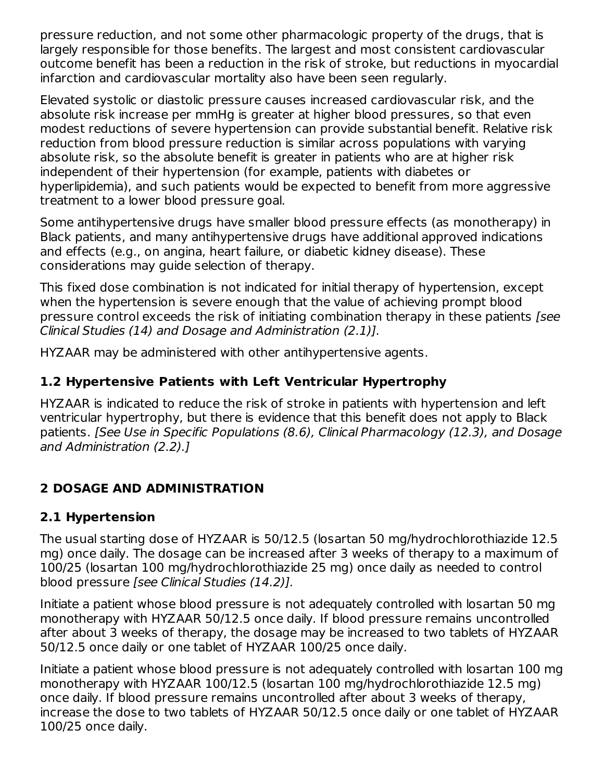pressure reduction, and not some other pharmacologic property of the drugs, that is largely responsible for those benefits. The largest and most consistent cardiovascular outcome benefit has been a reduction in the risk of stroke, but reductions in myocardial infarction and cardiovascular mortality also have been seen regularly.

Elevated systolic or diastolic pressure causes increased cardiovascular risk, and the absolute risk increase per mmHg is greater at higher blood pressures, so that even modest reductions of severe hypertension can provide substantial benefit. Relative risk reduction from blood pressure reduction is similar across populations with varying absolute risk, so the absolute benefit is greater in patients who are at higher risk independent of their hypertension (for example, patients with diabetes or hyperlipidemia), and such patients would be expected to benefit from more aggressive treatment to a lower blood pressure goal.

Some antihypertensive drugs have smaller blood pressure effects (as monotherapy) in Black patients, and many antihypertensive drugs have additional approved indications and effects (e.g., on angina, heart failure, or diabetic kidney disease). These considerations may guide selection of therapy.

This fixed dose combination is not indicated for initial therapy of hypertension, except when the hypertension is severe enough that the value of achieving prompt blood pressure control exceeds the risk of initiating combination therapy in these patients *[see*] Clinical Studies (14) and Dosage and Administration (2.1)].

HYZAAR may be administered with other antihypertensive agents.

#### **1.2 Hypertensive Patients with Left Ventricular Hypertrophy**

HYZAAR is indicated to reduce the risk of stroke in patients with hypertension and left ventricular hypertrophy, but there is evidence that this benefit does not apply to Black patients. [See Use in Specific Populations (8.6), Clinical Pharmacology (12.3), and Dosage and Administration (2.2).]

### **2 DOSAGE AND ADMINISTRATION**

#### **2.1 Hypertension**

The usual starting dose of HYZAAR is 50/12.5 (losartan 50 mg/hydrochlorothiazide 12.5 mg) once daily. The dosage can be increased after 3 weeks of therapy to a maximum of 100/25 (losartan 100 mg/hydrochlorothiazide 25 mg) once daily as needed to control blood pressure [see Clinical Studies (14.2)].

Initiate a patient whose blood pressure is not adequately controlled with losartan 50 mg monotherapy with HYZAAR 50/12.5 once daily. If blood pressure remains uncontrolled after about 3 weeks of therapy, the dosage may be increased to two tablets of HYZAAR 50/12.5 once daily or one tablet of HYZAAR 100/25 once daily.

Initiate a patient whose blood pressure is not adequately controlled with losartan 100 mg monotherapy with HYZAAR 100/12.5 (losartan 100 mg/hydrochlorothiazide 12.5 mg) once daily. If blood pressure remains uncontrolled after about 3 weeks of therapy, increase the dose to two tablets of HYZAAR 50/12.5 once daily or one tablet of HYZAAR 100/25 once daily.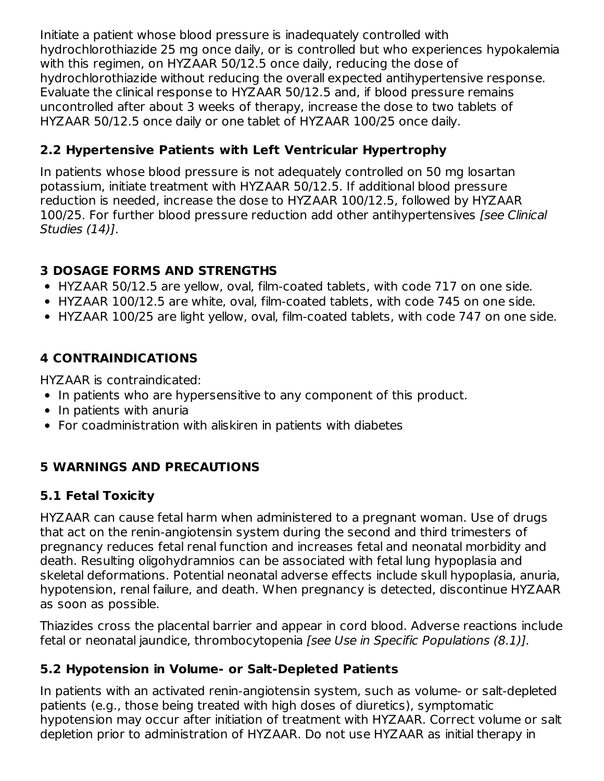Initiate a patient whose blood pressure is inadequately controlled with hydrochlorothiazide 25 mg once daily, or is controlled but who experiences hypokalemia with this regimen, on HYZAAR 50/12.5 once daily, reducing the dose of hydrochlorothiazide without reducing the overall expected antihypertensive response. Evaluate the clinical response to HYZAAR 50/12.5 and, if blood pressure remains uncontrolled after about 3 weeks of therapy, increase the dose to two tablets of HYZAAR 50/12.5 once daily or one tablet of HYZAAR 100/25 once daily.

### **2.2 Hypertensive Patients with Left Ventricular Hypertrophy**

In patients whose blood pressure is not adequately controlled on 50 mg losartan potassium, initiate treatment with HYZAAR 50/12.5. If additional blood pressure reduction is needed, increase the dose to HYZAAR 100/12.5, followed by HYZAAR 100/25. For further blood pressure reduction add other antihypertensives [see Clinical Studies (14)].

#### **3 DOSAGE FORMS AND STRENGTHS**

- HYZAAR 50/12.5 are yellow, oval, film-coated tablets, with code 717 on one side.
- HYZAAR 100/12.5 are white, oval, film-coated tablets, with code 745 on one side.
- HYZAAR 100/25 are light yellow, oval, film-coated tablets, with code 747 on one side.

### **4 CONTRAINDICATIONS**

HYZAAR is contraindicated:

- In patients who are hypersensitive to any component of this product.
- $\bullet$  In patients with anuria
- For coadministration with aliskiren in patients with diabetes

### **5 WARNINGS AND PRECAUTIONS**

#### **5.1 Fetal Toxicity**

HYZAAR can cause fetal harm when administered to a pregnant woman. Use of drugs that act on the renin-angiotensin system during the second and third trimesters of pregnancy reduces fetal renal function and increases fetal and neonatal morbidity and death. Resulting oligohydramnios can be associated with fetal lung hypoplasia and skeletal deformations. Potential neonatal adverse effects include skull hypoplasia, anuria, hypotension, renal failure, and death. When pregnancy is detected, discontinue HYZAAR as soon as possible.

Thiazides cross the placental barrier and appear in cord blood. Adverse reactions include fetal or neonatal jaundice, thrombocytopenia [see Use in Specific Populations (8.1)].

### **5.2 Hypotension in Volume- or Salt-Depleted Patients**

In patients with an activated renin-angiotensin system, such as volume- or salt-depleted patients (e.g., those being treated with high doses of diuretics), symptomatic hypotension may occur after initiation of treatment with HYZAAR. Correct volume or salt depletion prior to administration of HYZAAR. Do not use HYZAAR as initial therapy in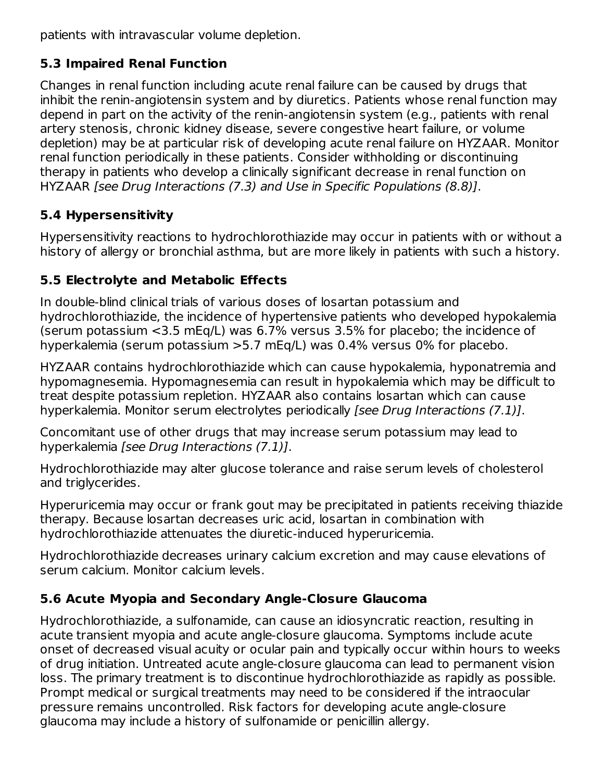patients with intravascular volume depletion.

### **5.3 Impaired Renal Function**

Changes in renal function including acute renal failure can be caused by drugs that inhibit the renin-angiotensin system and by diuretics. Patients whose renal function may depend in part on the activity of the renin-angiotensin system (e.g., patients with renal artery stenosis, chronic kidney disease, severe congestive heart failure, or volume depletion) may be at particular risk of developing acute renal failure on HYZAAR. Monitor renal function periodically in these patients. Consider withholding or discontinuing therapy in patients who develop a clinically significant decrease in renal function on HYZAAR [see Drug Interactions (7.3) and Use in Specific Populations (8.8)].

### **5.4 Hypersensitivity**

Hypersensitivity reactions to hydrochlorothiazide may occur in patients with or without a history of allergy or bronchial asthma, but are more likely in patients with such a history.

### **5.5 Electrolyte and Metabolic Effects**

In double-blind clinical trials of various doses of losartan potassium and hydrochlorothiazide, the incidence of hypertensive patients who developed hypokalemia (serum potassium <3.5 mEq/L) was 6.7% versus 3.5% for placebo; the incidence of hyperkalemia (serum potassium >5.7 mEq/L) was 0.4% versus 0% for placebo.

HYZAAR contains hydrochlorothiazide which can cause hypokalemia, hyponatremia and hypomagnesemia. Hypomagnesemia can result in hypokalemia which may be difficult to treat despite potassium repletion. HYZAAR also contains losartan which can cause hyperkalemia. Monitor serum electrolytes periodically [see Drug Interactions (7.1)].

Concomitant use of other drugs that may increase serum potassium may lead to hyperkalemia [see Drug Interactions (7.1)].

Hydrochlorothiazide may alter glucose tolerance and raise serum levels of cholesterol and triglycerides.

Hyperuricemia may occur or frank gout may be precipitated in patients receiving thiazide therapy. Because losartan decreases uric acid, losartan in combination with hydrochlorothiazide attenuates the diuretic-induced hyperuricemia.

Hydrochlorothiazide decreases urinary calcium excretion and may cause elevations of serum calcium. Monitor calcium levels.

### **5.6 Acute Myopia and Secondary Angle-Closure Glaucoma**

Hydrochlorothiazide, a sulfonamide, can cause an idiosyncratic reaction, resulting in acute transient myopia and acute angle-closure glaucoma. Symptoms include acute onset of decreased visual acuity or ocular pain and typically occur within hours to weeks of drug initiation. Untreated acute angle-closure glaucoma can lead to permanent vision loss. The primary treatment is to discontinue hydrochlorothiazide as rapidly as possible. Prompt medical or surgical treatments may need to be considered if the intraocular pressure remains uncontrolled. Risk factors for developing acute angle-closure glaucoma may include a history of sulfonamide or penicillin allergy.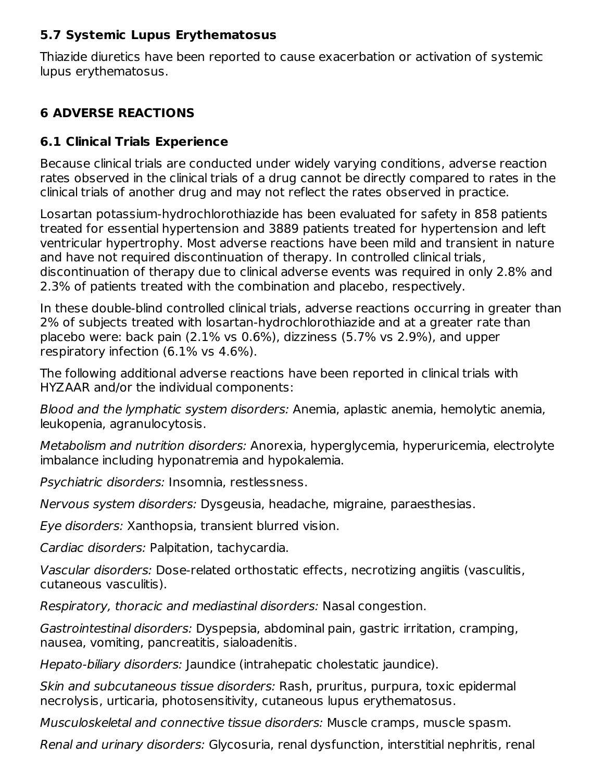#### **5.7 Systemic Lupus Erythematosus**

Thiazide diuretics have been reported to cause exacerbation or activation of systemic lupus erythematosus.

#### **6 ADVERSE REACTIONS**

#### **6.1 Clinical Trials Experience**

Because clinical trials are conducted under widely varying conditions, adverse reaction rates observed in the clinical trials of a drug cannot be directly compared to rates in the clinical trials of another drug and may not reflect the rates observed in practice.

Losartan potassium-hydrochlorothiazide has been evaluated for safety in 858 patients treated for essential hypertension and 3889 patients treated for hypertension and left ventricular hypertrophy. Most adverse reactions have been mild and transient in nature and have not required discontinuation of therapy. In controlled clinical trials, discontinuation of therapy due to clinical adverse events was required in only 2.8% and 2.3% of patients treated with the combination and placebo, respectively.

In these double-blind controlled clinical trials, adverse reactions occurring in greater than 2% of subjects treated with losartan-hydrochlorothiazide and at a greater rate than placebo were: back pain (2.1% vs 0.6%), dizziness (5.7% vs 2.9%), and upper respiratory infection (6.1% vs 4.6%).

The following additional adverse reactions have been reported in clinical trials with HYZAAR and/or the individual components:

Blood and the lymphatic system disorders: Anemia, aplastic anemia, hemolytic anemia, leukopenia, agranulocytosis.

Metabolism and nutrition disorders: Anorexia, hyperglycemia, hyperuricemia, electrolyte imbalance including hyponatremia and hypokalemia.

Psychiatric disorders: Insomnia, restlessness.

Nervous system disorders: Dysgeusia, headache, migraine, paraesthesias.

Eye disorders: Xanthopsia, transient blurred vision.

Cardiac disorders: Palpitation, tachycardia.

Vascular disorders: Dose-related orthostatic effects, necrotizing angiitis (vasculitis, cutaneous vasculitis).

Respiratory, thoracic and mediastinal disorders: Nasal congestion.

Gastrointestinal disorders: Dyspepsia, abdominal pain, gastric irritation, cramping, nausea, vomiting, pancreatitis, sialoadenitis.

Hepato-biliary disorders: Jaundice (intrahepatic cholestatic jaundice).

Skin and subcutaneous tissue disorders: Rash, pruritus, purpura, toxic epidermal necrolysis, urticaria, photosensitivity, cutaneous lupus erythematosus.

Musculoskeletal and connective tissue disorders: Muscle cramps, muscle spasm.

Renal and urinary disorders: Glycosuria, renal dysfunction, interstitial nephritis, renal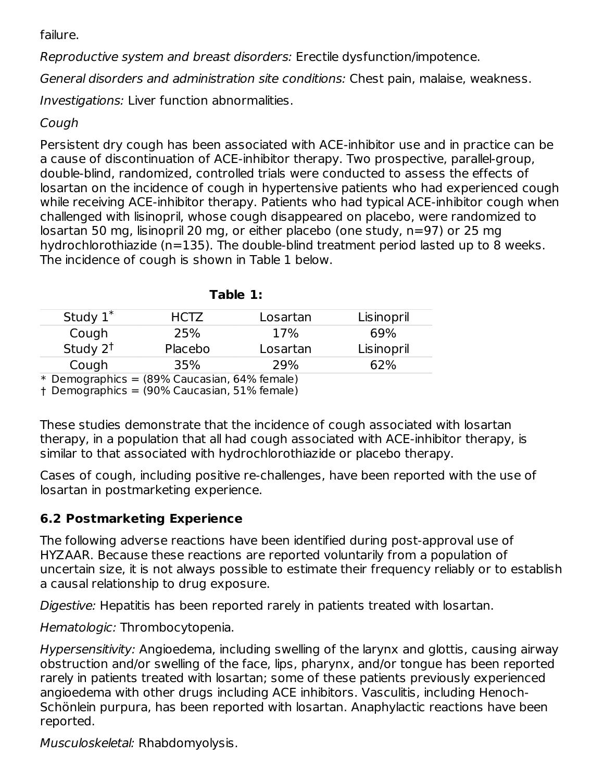failure.

Reproductive system and breast disorders: Erectile dysfunction/impotence.

General disorders and administration site conditions: Chest pain, malaise, weakness.

Investigations: Liver function abnormalities.

#### Cough

Persistent dry cough has been associated with ACE-inhibitor use and in practice can be a cause of discontinuation of ACE-inhibitor therapy. Two prospective, parallel-group, double-blind, randomized, controlled trials were conducted to assess the effects of losartan on the incidence of cough in hypertensive patients who had experienced cough while receiving ACE-inhibitor therapy. Patients who had typical ACE-inhibitor cough when challenged with lisinopril, whose cough disappeared on placebo, were randomized to losartan 50 mg, lisinopril 20 mg, or either placebo (one study, n=97) or 25 mg hydrochlorothiazide (n=135). The double-blind treatment period lasted up to 8 weeks. The incidence of cough is shown in Table 1 below.

| Study $1^*$                | HCTZ    | Losartan | Lisinopril |
|----------------------------|---------|----------|------------|
| Cough                      | 25%     | 17%      | 69%        |
| Study $2^{\dagger}$        | Placebo | Losartan | Lisinopril |
| Cough                      | 35%     | 29%      | 62%        |
| لمملط مصيم ممموم المتكارية |         |          |            |

**Table 1:**

\* Demographics = (89% Caucasian, 64% female)

† Demographics = (90% Caucasian, 51% female)

These studies demonstrate that the incidence of cough associated with losartan therapy, in a population that all had cough associated with ACE-inhibitor therapy, is similar to that associated with hydrochlorothiazide or placebo therapy.

Cases of cough, including positive re-challenges, have been reported with the use of losartan in postmarketing experience.

### **6.2 Postmarketing Experience**

The following adverse reactions have been identified during post-approval use of HYZAAR. Because these reactions are reported voluntarily from a population of uncertain size, it is not always possible to estimate their frequency reliably or to establish a causal relationship to drug exposure.

Digestive: Hepatitis has been reported rarely in patients treated with losartan.

Hematologic: Thrombocytopenia.

Hypersensitivity: Angioedema, including swelling of the larynx and glottis, causing airway obstruction and/or swelling of the face, lips, pharynx, and/or tongue has been reported rarely in patients treated with losartan; some of these patients previously experienced angioedema with other drugs including ACE inhibitors. Vasculitis, including Henoch-Schönlein purpura, has been reported with losartan. Anaphylactic reactions have been reported.

Musculoskeletal: Rhabdomyolysis.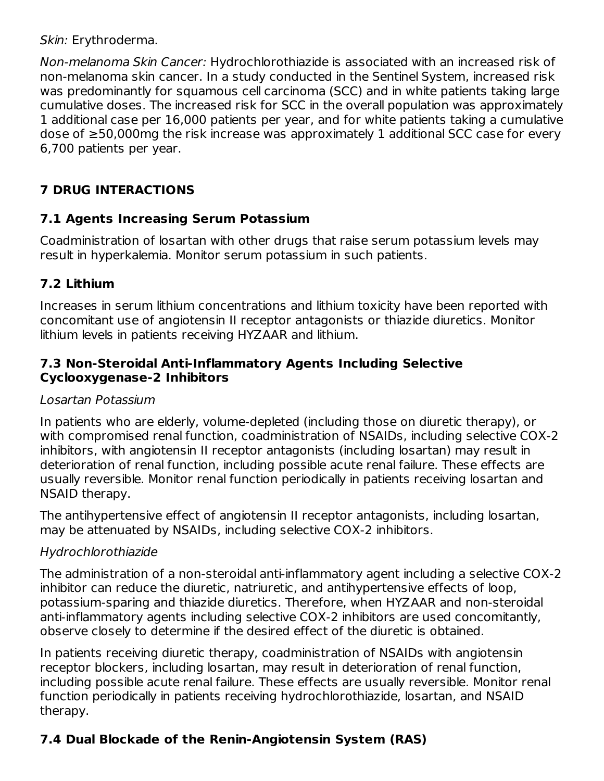Skin: Erythroderma.

Non-melanoma Skin Cancer: Hydrochlorothiazide is associated with an increased risk of non-melanoma skin cancer. In a study conducted in the Sentinel System, increased risk was predominantly for squamous cell carcinoma (SCC) and in white patients taking large cumulative doses. The increased risk for SCC in the overall population was approximately 1 additional case per 16,000 patients per year, and for white patients taking a cumulative dose of ≥50,000mg the risk increase was approximately 1 additional SCC case for every 6,700 patients per year.

### **7 DRUG INTERACTIONS**

#### **7.1 Agents Increasing Serum Potassium**

Coadministration of losartan with other drugs that raise serum potassium levels may result in hyperkalemia. Monitor serum potassium in such patients.

### **7.2 Lithium**

Increases in serum lithium concentrations and lithium toxicity have been reported with concomitant use of angiotensin II receptor antagonists or thiazide diuretics. Monitor lithium levels in patients receiving HYZAAR and lithium.

#### **7.3 Non-Steroidal Anti-Inflammatory Agents Including Selective Cyclooxygenase-2 Inhibitors**

#### Losartan Potassium

In patients who are elderly, volume-depleted (including those on diuretic therapy), or with compromised renal function, coadministration of NSAIDs, including selective COX-2 inhibitors, with angiotensin II receptor antagonists (including losartan) may result in deterioration of renal function, including possible acute renal failure. These effects are usually reversible. Monitor renal function periodically in patients receiving losartan and NSAID therapy.

The antihypertensive effect of angiotensin II receptor antagonists, including losartan, may be attenuated by NSAIDs, including selective COX-2 inhibitors.

#### Hydrochlorothiazide

The administration of a non-steroidal anti-inflammatory agent including a selective COX-2 inhibitor can reduce the diuretic, natriuretic, and antihypertensive effects of loop, potassium-sparing and thiazide diuretics. Therefore, when HYZAAR and non-steroidal anti-inflammatory agents including selective COX-2 inhibitors are used concomitantly, observe closely to determine if the desired effect of the diuretic is obtained.

In patients receiving diuretic therapy, coadministration of NSAIDs with angiotensin receptor blockers, including losartan, may result in deterioration of renal function, including possible acute renal failure. These effects are usually reversible. Monitor renal function periodically in patients receiving hydrochlorothiazide, losartan, and NSAID therapy.

### **7.4 Dual Blockade of the Renin-Angiotensin System (RAS)**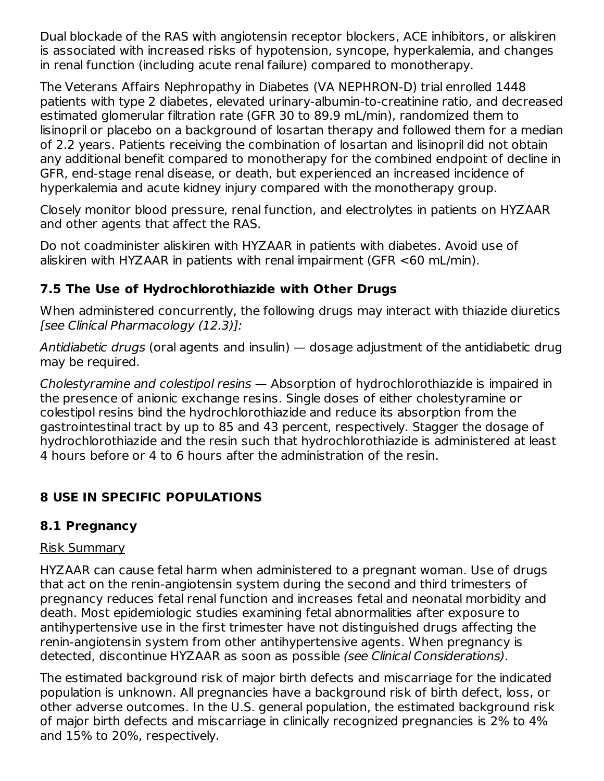Dual blockade of the RAS with angiotensin receptor blockers, ACE inhibitors, or aliskiren is associated with increased risks of hypotension, syncope, hyperkalemia, and changes in renal function (including acute renal failure) compared to monotherapy.

The Veterans Affairs Nephropathy in Diabetes (VA NEPHRON-D) trial enrolled 1448 patients with type 2 diabetes, elevated urinary-albumin-to-creatinine ratio, and decreased estimated glomerular filtration rate (GFR 30 to 89.9 mL/min), randomized them to lisinopril or placebo on a background of losartan therapy and followed them for a median of 2.2 years. Patients receiving the combination of losartan and lisinopril did not obtain any additional benefit compared to monotherapy for the combined endpoint of decline in GFR, end-stage renal disease, or death, but experienced an increased incidence of hyperkalemia and acute kidney injury compared with the monotherapy group.

Closely monitor blood pressure, renal function, and electrolytes in patients on HYZAAR and other agents that affect the RAS.

Do not coadminister aliskiren with HYZAAR in patients with diabetes. Avoid use of aliskiren with HYZAAR in patients with renal impairment (GFR <60 mL/min).

#### **7.5 The Use of Hydrochlorothiazide with Other Drugs**

When administered concurrently, the following drugs may interact with thiazide diuretics [see Clinical Pharmacology (12.3)]:

Antidiabetic drugs (oral agents and insulin) — dosage adjustment of the antidiabetic drug may be required.

Cholestyramine and colestipol resins — Absorption of hydrochlorothiazide is impaired in the presence of anionic exchange resins. Single doses of either cholestyramine or colestipol resins bind the hydrochlorothiazide and reduce its absorption from the gastrointestinal tract by up to 85 and 43 percent, respectively. Stagger the dosage of hydrochlorothiazide and the resin such that hydrochlorothiazide is administered at least 4 hours before or 4 to 6 hours after the administration of the resin.

### **8 USE IN SPECIFIC POPULATIONS**

#### **8.1 Pregnancy**

#### Risk Summary

HYZAAR can cause fetal harm when administered to a pregnant woman. Use of drugs that act on the renin-angiotensin system during the second and third trimesters of pregnancy reduces fetal renal function and increases fetal and neonatal morbidity and death. Most epidemiologic studies examining fetal abnormalities after exposure to antihypertensive use in the first trimester have not distinguished drugs affecting the renin-angiotensin system from other antihypertensive agents. When pregnancy is detected, discontinue HYZAAR as soon as possible (see Clinical Considerations).

The estimated background risk of major birth defects and miscarriage for the indicated population is unknown. All pregnancies have a background risk of birth defect, loss, or other adverse outcomes. In the U.S. general population, the estimated background risk of major birth defects and miscarriage in clinically recognized pregnancies is 2% to 4% and 15% to 20%, respectively.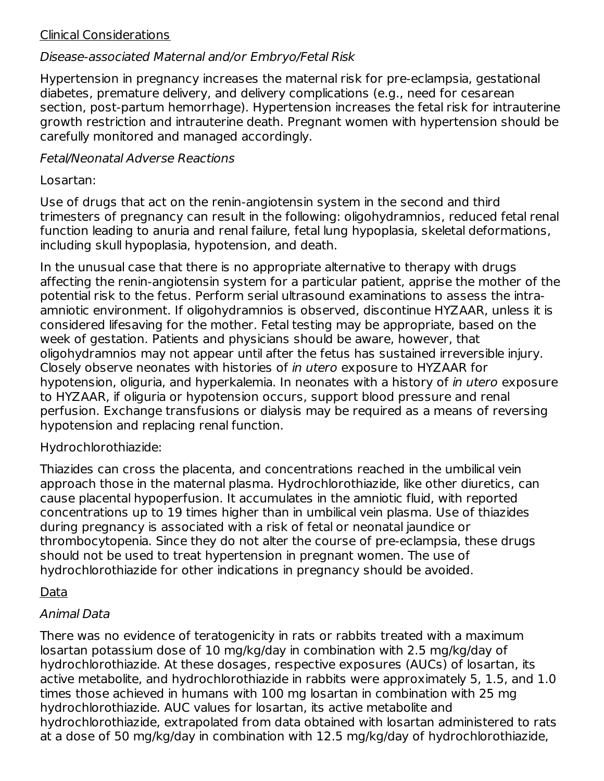#### Clinical Considerations

#### Disease-associated Maternal and/or Embryo/Fetal Risk

Hypertension in pregnancy increases the maternal risk for pre-eclampsia, gestational diabetes, premature delivery, and delivery complications (e.g., need for cesarean section, post-partum hemorrhage). Hypertension increases the fetal risk for intrauterine growth restriction and intrauterine death. Pregnant women with hypertension should be carefully monitored and managed accordingly.

#### Fetal/Neonatal Adverse Reactions

#### Losartan:

Use of drugs that act on the renin-angiotensin system in the second and third trimesters of pregnancy can result in the following: oligohydramnios, reduced fetal renal function leading to anuria and renal failure, fetal lung hypoplasia, skeletal deformations, including skull hypoplasia, hypotension, and death.

In the unusual case that there is no appropriate alternative to therapy with drugs affecting the renin-angiotensin system for a particular patient, apprise the mother of the potential risk to the fetus. Perform serial ultrasound examinations to assess the intraamniotic environment. If oligohydramnios is observed, discontinue HYZAAR, unless it is considered lifesaving for the mother. Fetal testing may be appropriate, based on the week of gestation. Patients and physicians should be aware, however, that oligohydramnios may not appear until after the fetus has sustained irreversible injury. Closely observe neonates with histories of in utero exposure to HYZAAR for hypotension, oliguria, and hyperkalemia. In neonates with a history of in utero exposure to HYZAAR, if oliguria or hypotension occurs, support blood pressure and renal perfusion. Exchange transfusions or dialysis may be required as a means of reversing hypotension and replacing renal function.

#### Hydrochlorothiazide:

Thiazides can cross the placenta, and concentrations reached in the umbilical vein approach those in the maternal plasma. Hydrochlorothiazide, like other diuretics, can cause placental hypoperfusion. It accumulates in the amniotic fluid, with reported concentrations up to 19 times higher than in umbilical vein plasma. Use of thiazides during pregnancy is associated with a risk of fetal or neonatal jaundice or thrombocytopenia. Since they do not alter the course of pre-eclampsia, these drugs should not be used to treat hypertension in pregnant women. The use of hydrochlorothiazide for other indications in pregnancy should be avoided.

#### Data

#### Animal Data

There was no evidence of teratogenicity in rats or rabbits treated with a maximum losartan potassium dose of 10 mg/kg/day in combination with 2.5 mg/kg/day of hydrochlorothiazide. At these dosages, respective exposures (AUCs) of losartan, its active metabolite, and hydrochlorothiazide in rabbits were approximately 5, 1.5, and 1.0 times those achieved in humans with 100 mg losartan in combination with 25 mg hydrochlorothiazide. AUC values for losartan, its active metabolite and hydrochlorothiazide, extrapolated from data obtained with losartan administered to rats at a dose of 50 mg/kg/day in combination with 12.5 mg/kg/day of hydrochlorothiazide,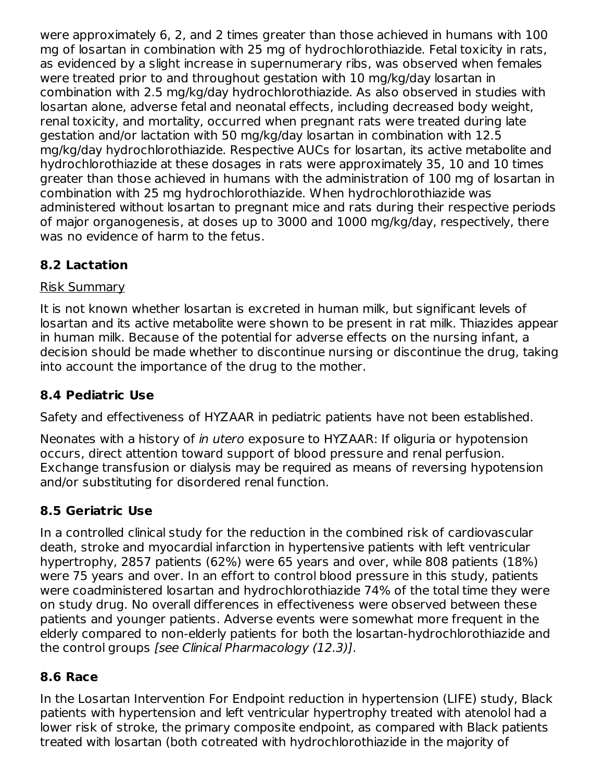were approximately 6, 2, and 2 times greater than those achieved in humans with 100 mg of losartan in combination with 25 mg of hydrochlorothiazide. Fetal toxicity in rats, as evidenced by a slight increase in supernumerary ribs, was observed when females were treated prior to and throughout gestation with 10 mg/kg/day losartan in combination with 2.5 mg/kg/day hydrochlorothiazide. As also observed in studies with losartan alone, adverse fetal and neonatal effects, including decreased body weight, renal toxicity, and mortality, occurred when pregnant rats were treated during late gestation and/or lactation with 50 mg/kg/day losartan in combination with 12.5 mg/kg/day hydrochlorothiazide. Respective AUCs for losartan, its active metabolite and hydrochlorothiazide at these dosages in rats were approximately 35, 10 and 10 times greater than those achieved in humans with the administration of 100 mg of losartan in combination with 25 mg hydrochlorothiazide. When hydrochlorothiazide was administered without losartan to pregnant mice and rats during their respective periods of major organogenesis, at doses up to 3000 and 1000 mg/kg/day, respectively, there was no evidence of harm to the fetus.

### **8.2 Lactation**

#### Risk Summary

It is not known whether losartan is excreted in human milk, but significant levels of losartan and its active metabolite were shown to be present in rat milk. Thiazides appear in human milk. Because of the potential for adverse effects on the nursing infant, a decision should be made whether to discontinue nursing or discontinue the drug, taking into account the importance of the drug to the mother.

### **8.4 Pediatric Use**

Safety and effectiveness of HYZAAR in pediatric patients have not been established.

Neonates with a history of in utero exposure to HYZAAR: If oliguria or hypotension occurs, direct attention toward support of blood pressure and renal perfusion. Exchange transfusion or dialysis may be required as means of reversing hypotension and/or substituting for disordered renal function.

### **8.5 Geriatric Use**

In a controlled clinical study for the reduction in the combined risk of cardiovascular death, stroke and myocardial infarction in hypertensive patients with left ventricular hypertrophy, 2857 patients (62%) were 65 years and over, while 808 patients (18%) were 75 years and over. In an effort to control blood pressure in this study, patients were coadministered losartan and hydrochlorothiazide 74% of the total time they were on study drug. No overall differences in effectiveness were observed between these patients and younger patients. Adverse events were somewhat more frequent in the elderly compared to non-elderly patients for both the losartan-hydrochlorothiazide and the control groups [see Clinical Pharmacology (12.3)].

### **8.6 Race**

In the Losartan Intervention For Endpoint reduction in hypertension (LIFE) study, Black patients with hypertension and left ventricular hypertrophy treated with atenolol had a lower risk of stroke, the primary composite endpoint, as compared with Black patients treated with losartan (both cotreated with hydrochlorothiazide in the majority of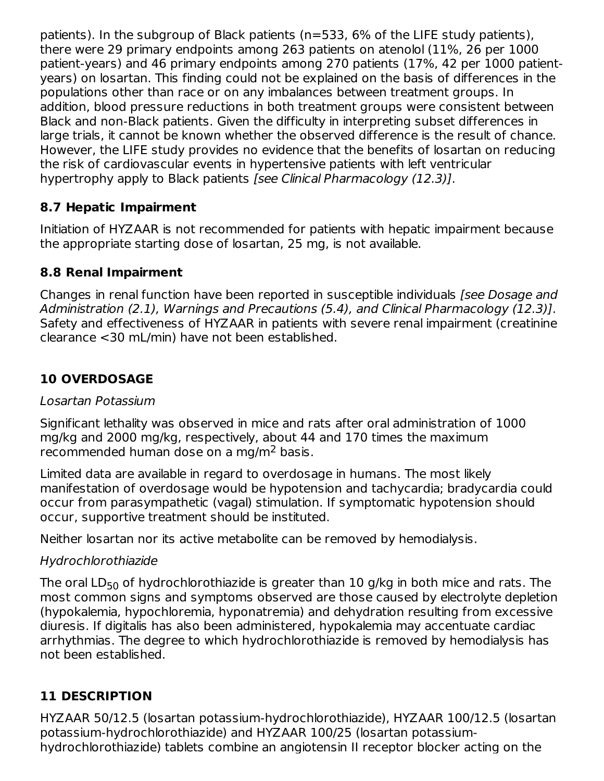patients). In the subgroup of Black patients (n=533, 6% of the LIFE study patients), there were 29 primary endpoints among 263 patients on atenolol (11%, 26 per 1000 patient-years) and 46 primary endpoints among 270 patients (17%, 42 per 1000 patientyears) on losartan. This finding could not be explained on the basis of differences in the populations other than race or on any imbalances between treatment groups. In addition, blood pressure reductions in both treatment groups were consistent between Black and non-Black patients. Given the difficulty in interpreting subset differences in large trials, it cannot be known whether the observed difference is the result of chance. However, the LIFE study provides no evidence that the benefits of losartan on reducing the risk of cardiovascular events in hypertensive patients with left ventricular hypertrophy apply to Black patients [see Clinical Pharmacology (12.3)].

#### **8.7 Hepatic Impairment**

Initiation of HYZAAR is not recommended for patients with hepatic impairment because the appropriate starting dose of losartan, 25 mg, is not available.

#### **8.8 Renal Impairment**

Changes in renal function have been reported in susceptible individuals (see Dosage and Administration (2.1), Warnings and Precautions (5.4), and Clinical Pharmacology (12.3)]. Safety and effectiveness of HYZAAR in patients with severe renal impairment (creatinine clearance <30 mL/min) have not been established.

#### **10 OVERDOSAGE**

#### Losartan Potassium

Significant lethality was observed in mice and rats after oral administration of 1000 mg/kg and 2000 mg/kg, respectively, about 44 and 170 times the maximum recommended human dose on a mg/m<sup>2</sup> basis.

Limited data are available in regard to overdosage in humans. The most likely manifestation of overdosage would be hypotension and tachycardia; bradycardia could occur from parasympathetic (vagal) stimulation. If symptomatic hypotension should occur, supportive treatment should be instituted.

Neither losartan nor its active metabolite can be removed by hemodialysis.

#### Hydrochlorothiazide

The oral  $\mathsf{LD}_{50}$  of hydrochlorothiazide is greater than  $10$  g/kg in both mice and rats. The most common signs and symptoms observed are those caused by electrolyte depletion (hypokalemia, hypochloremia, hyponatremia) and dehydration resulting from excessive diuresis. If digitalis has also been administered, hypokalemia may accentuate cardiac arrhythmias. The degree to which hydrochlorothiazide is removed by hemodialysis has not been established.

#### **11 DESCRIPTION**

HYZAAR 50/12.5 (losartan potassium-hydrochlorothiazide), HYZAAR 100/12.5 (losartan potassium-hydrochlorothiazide) and HYZAAR 100/25 (losartan potassiumhydrochlorothiazide) tablets combine an angiotensin II receptor blocker acting on the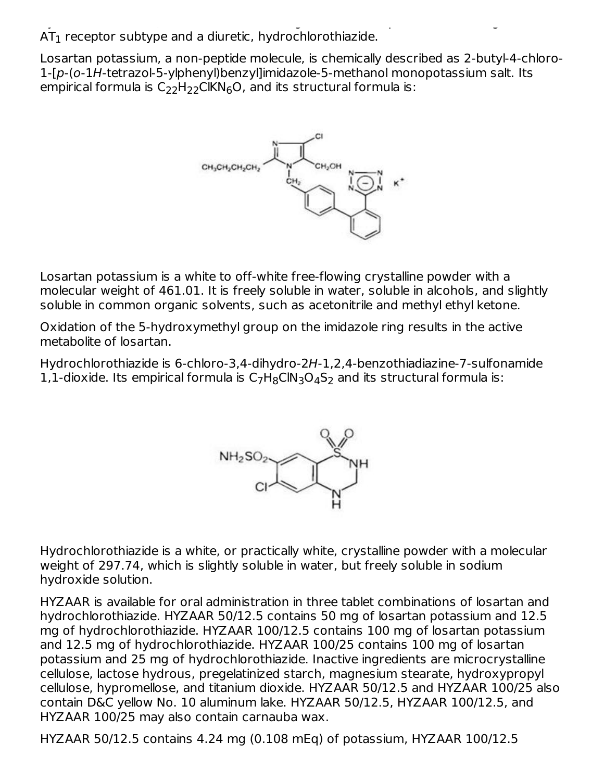hydrochlorothiazide) tablets combine an angiotensin II receptor blocker acting on the  $AT_{1}$  receptor subtype and a diuretic, hydrochlorothiazide.

Losartan potassium, a non-peptide molecule, is chemically described as 2-butyl-4-chloro-1-[p-(o-1H-tetrazol-5-ylphenyl)benzyl]imidazole-5-methanol monopotassium salt. Its empirical formula is  $\mathsf{C}_{22}\mathsf{H}_{22}\mathsf{CIKN}_{6}\mathsf{O}$ , and its structural formula is:



Losartan potassium is a white to off-white free-flowing crystalline powder with a molecular weight of 461.01. It is freely soluble in water, soluble in alcohols, and slightly soluble in common organic solvents, such as acetonitrile and methyl ethyl ketone.

Oxidation of the 5-hydroxymethyl group on the imidazole ring results in the active metabolite of losartan.

Hydrochlorothiazide is 6-chloro-3,4-dihydro-2H-1,2,4-benzothiadiazine-7-sulfonamide 1,1-dioxide. Its empirical formula is  $C_7H_8CIN_3O_4S_2$  and its structural formula is:



Hydrochlorothiazide is a white, or practically white, crystalline powder with a molecular weight of 297.74, which is slightly soluble in water, but freely soluble in sodium hydroxide solution.

HYZAAR is available for oral administration in three tablet combinations of losartan and hydrochlorothiazide. HYZAAR 50/12.5 contains 50 mg of losartan potassium and 12.5 mg of hydrochlorothiazide. HYZAAR 100/12.5 contains 100 mg of losartan potassium and 12.5 mg of hydrochlorothiazide. HYZAAR 100/25 contains 100 mg of losartan potassium and 25 mg of hydrochlorothiazide. Inactive ingredients are microcrystalline cellulose, lactose hydrous, pregelatinized starch, magnesium stearate, hydroxypropyl cellulose, hypromellose, and titanium dioxide. HYZAAR 50/12.5 and HYZAAR 100/25 also contain D&C yellow No. 10 aluminum lake. HYZAAR 50/12.5, HYZAAR 100/12.5, and HYZAAR 100/25 may also contain carnauba wax.

HYZAAR 50/12.5 contains 4.24 mg (0.108 mEq) of potassium, HYZAAR 100/12.5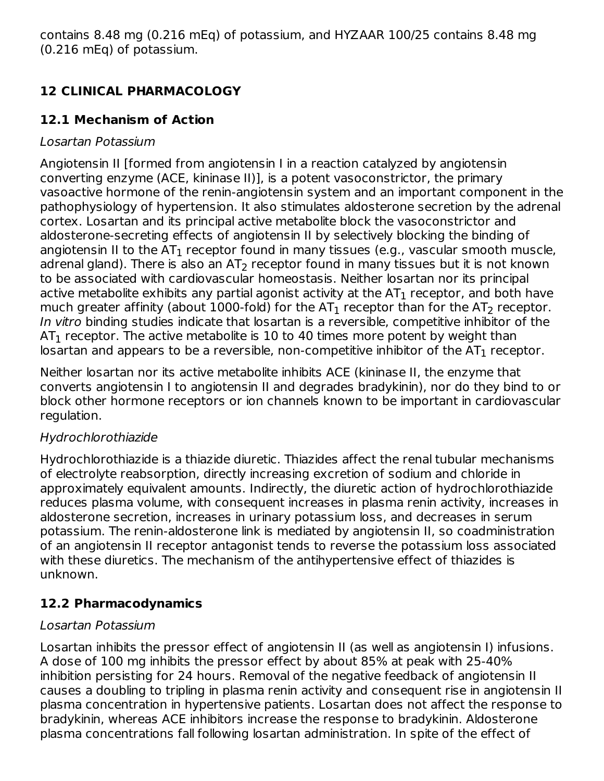contains 8.48 mg (0.216 mEq) of potassium, and HYZAAR 100/25 contains 8.48 mg (0.216 mEq) of potassium.

## **12 CLINICAL PHARMACOLOGY**

### **12.1 Mechanism of Action**

#### Losartan Potassium

Angiotensin II [formed from angiotensin I in a reaction catalyzed by angiotensin converting enzyme (ACE, kininase II)], is a potent vasoconstrictor, the primary vasoactive hormone of the renin-angiotensin system and an important component in the pathophysiology of hypertension. It also stimulates aldosterone secretion by the adrenal cortex. Losartan and its principal active metabolite block the vasoconstrictor and aldosterone-secreting effects of angiotensin II by selectively blocking the binding of angiotensin II to the AT $_{\rm 1}$  receptor found in many tissues (e.g., vascular smooth muscle, adrenal gland). There is also an AT $_2$  receptor found in many tissues but it is not known to be associated with cardiovascular homeostasis. Neither losartan nor its principal active metabolite exhibits any partial agonist activity at the AT $_{\rm 1}$  receptor, and both have much greater affinity (about 1000-fold) for the AT<sub>1</sub> receptor than for the AT<sub>2</sub> receptor. In vitro binding studies indicate that losartan is a reversible, competitive inhibitor of the AT $_{\rm 1}$  receptor. The active metabolite is 10 to 40 times more potent by weight than losartan and appears to be a reversible, non-competitive inhibitor of the AT $_{\rm 1}$  receptor.

Neither losartan nor its active metabolite inhibits ACE (kininase II, the enzyme that converts angiotensin I to angiotensin II and degrades bradykinin), nor do they bind to or block other hormone receptors or ion channels known to be important in cardiovascular regulation.

### Hydrochlorothiazide

Hydrochlorothiazide is a thiazide diuretic. Thiazides affect the renal tubular mechanisms of electrolyte reabsorption, directly increasing excretion of sodium and chloride in approximately equivalent amounts. Indirectly, the diuretic action of hydrochlorothiazide reduces plasma volume, with consequent increases in plasma renin activity, increases in aldosterone secretion, increases in urinary potassium loss, and decreases in serum potassium. The renin-aldosterone link is mediated by angiotensin II, so coadministration of an angiotensin II receptor antagonist tends to reverse the potassium loss associated with these diuretics. The mechanism of the antihypertensive effect of thiazides is unknown.

### **12.2 Pharmacodynamics**

#### Losartan Potassium

Losartan inhibits the pressor effect of angiotensin II (as well as angiotensin I) infusions. A dose of 100 mg inhibits the pressor effect by about 85% at peak with 25-40% inhibition persisting for 24 hours. Removal of the negative feedback of angiotensin II causes a doubling to tripling in plasma renin activity and consequent rise in angiotensin II plasma concentration in hypertensive patients. Losartan does not affect the response to bradykinin, whereas ACE inhibitors increase the response to bradykinin. Aldosterone plasma concentrations fall following losartan administration. In spite of the effect of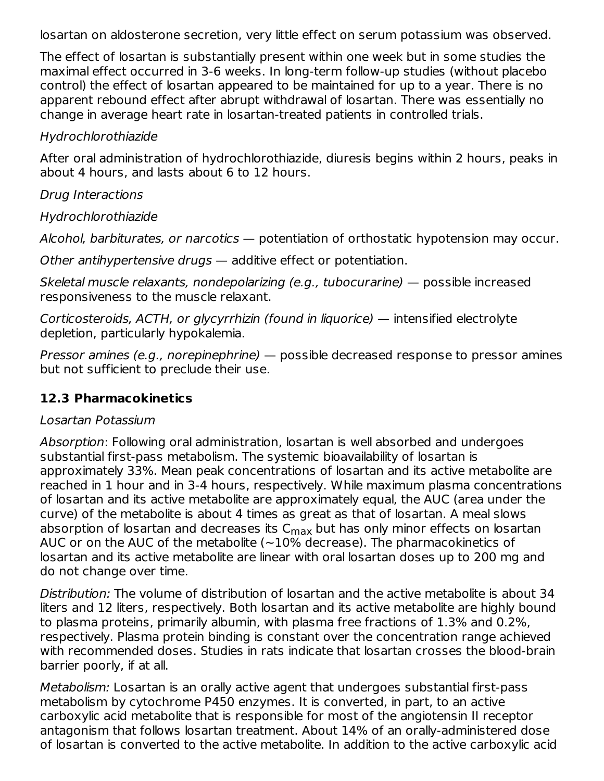losartan on aldosterone secretion, very little effect on serum potassium was observed.

The effect of losartan is substantially present within one week but in some studies the maximal effect occurred in 3-6 weeks. In long-term follow-up studies (without placebo control) the effect of losartan appeared to be maintained for up to a year. There is no apparent rebound effect after abrupt withdrawal of losartan. There was essentially no change in average heart rate in losartan-treated patients in controlled trials.

#### Hydrochlorothiazide

After oral administration of hydrochlorothiazide, diuresis begins within 2 hours, peaks in about 4 hours, and lasts about 6 to 12 hours.

#### Drug Interactions

#### Hydrochlorothiazide

Alcohol, barbiturates, or narcotics — potentiation of orthostatic hypotension may occur.

Other antihypertensive drugs — additive effect or potentiation.

Skeletal muscle relaxants, nondepolarizing (e.g., tubocurarine) — possible increased responsiveness to the muscle relaxant.

Corticosteroids, ACTH, or glycyrrhizin (found in liquorice) — intensified electrolyte depletion, particularly hypokalemia.

Pressor amines (e.g., norepinephrine) — possible decreased response to pressor amines but not sufficient to preclude their use.

#### **12.3 Pharmacokinetics**

#### Losartan Potassium

Absorption: Following oral administration, losartan is well absorbed and undergoes substantial first-pass metabolism. The systemic bioavailability of losartan is approximately 33%. Mean peak concentrations of losartan and its active metabolite are reached in 1 hour and in 3-4 hours, respectively. While maximum plasma concentrations of losartan and its active metabolite are approximately equal, the AUC (area under the curve) of the metabolite is about 4 times as great as that of losartan. A meal slows absorption of losartan and decreases its C<sub>max</sub> but has only minor effects on losartan AUC or on the AUC of the metabolite (~10% decrease). The pharmacokinetics of losartan and its active metabolite are linear with oral losartan doses up to 200 mg and do not change over time.

Distribution: The volume of distribution of losartan and the active metabolite is about 34 liters and 12 liters, respectively. Both losartan and its active metabolite are highly bound to plasma proteins, primarily albumin, with plasma free fractions of 1.3% and 0.2%, respectively. Plasma protein binding is constant over the concentration range achieved with recommended doses. Studies in rats indicate that losartan crosses the blood-brain barrier poorly, if at all.

Metabolism: Losartan is an orally active agent that undergoes substantial first-pass metabolism by cytochrome P450 enzymes. It is converted, in part, to an active carboxylic acid metabolite that is responsible for most of the angiotensin II receptor antagonism that follows losartan treatment. About 14% of an orally-administered dose of losartan is converted to the active metabolite. In addition to the active carboxylic acid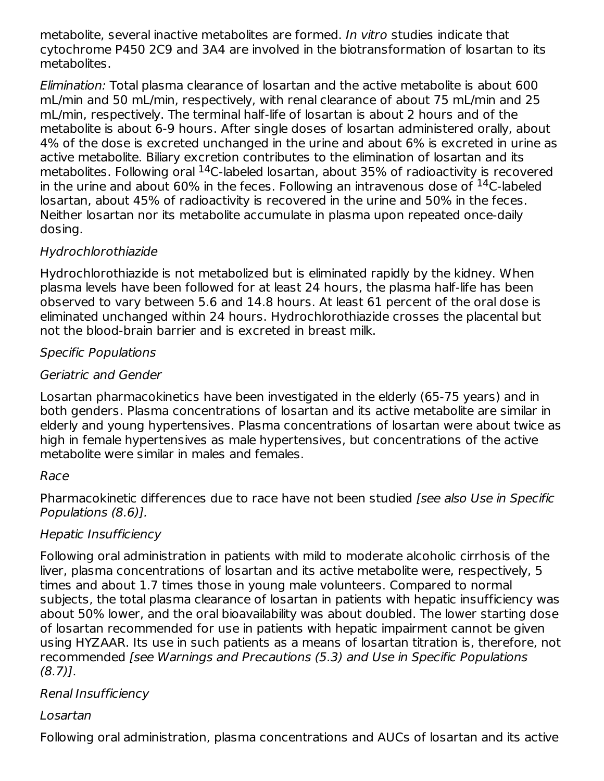metabolite, several inactive metabolites are formed. In vitro studies indicate that cytochrome P450 2C9 and 3A4 are involved in the biotransformation of losartan to its metabolites.

Elimination: Total plasma clearance of losartan and the active metabolite is about 600 mL/min and 50 mL/min, respectively, with renal clearance of about 75 mL/min and 25 mL/min, respectively. The terminal half-life of losartan is about 2 hours and of the metabolite is about 6-9 hours. After single doses of losartan administered orally, about 4% of the dose is excreted unchanged in the urine and about 6% is excreted in urine as active metabolite. Biliary excretion contributes to the elimination of losartan and its metabolites. Following oral  $^{14}$ C-labeled losartan, about 35% of radioactivity is recovered in the urine and about 60% in the feces. Following an intravenous dose of  $^{14}$ C-labeled losartan, about 45% of radioactivity is recovered in the urine and 50% in the feces. Neither losartan nor its metabolite accumulate in plasma upon repeated once-daily dosing.

#### Hydrochlorothiazide

Hydrochlorothiazide is not metabolized but is eliminated rapidly by the kidney. When plasma levels have been followed for at least 24 hours, the plasma half-life has been observed to vary between 5.6 and 14.8 hours. At least 61 percent of the oral dose is eliminated unchanged within 24 hours. Hydrochlorothiazide crosses the placental but not the blood-brain barrier and is excreted in breast milk.

#### Specific Populations

#### Geriatric and Gender

Losartan pharmacokinetics have been investigated in the elderly (65-75 years) and in both genders. Plasma concentrations of losartan and its active metabolite are similar in elderly and young hypertensives. Plasma concentrations of losartan were about twice as high in female hypertensives as male hypertensives, but concentrations of the active metabolite were similar in males and females.

#### Race

Pharmacokinetic differences due to race have not been studied [see also Use in Specific Populations (8.6)].

#### Hepatic Insufficiency

Following oral administration in patients with mild to moderate alcoholic cirrhosis of the liver, plasma concentrations of losartan and its active metabolite were, respectively, 5 times and about 1.7 times those in young male volunteers. Compared to normal subjects, the total plasma clearance of losartan in patients with hepatic insufficiency was about 50% lower, and the oral bioavailability was about doubled. The lower starting dose of losartan recommended for use in patients with hepatic impairment cannot be given using HYZAAR. Its use in such patients as a means of losartan titration is, therefore, not recommended [see Warnings and Precautions (5.3) and Use in Specific Populations  $(8.7)$ ].

#### Renal Insufficiency

#### Losartan

Following oral administration, plasma concentrations and AUCs of losartan and its active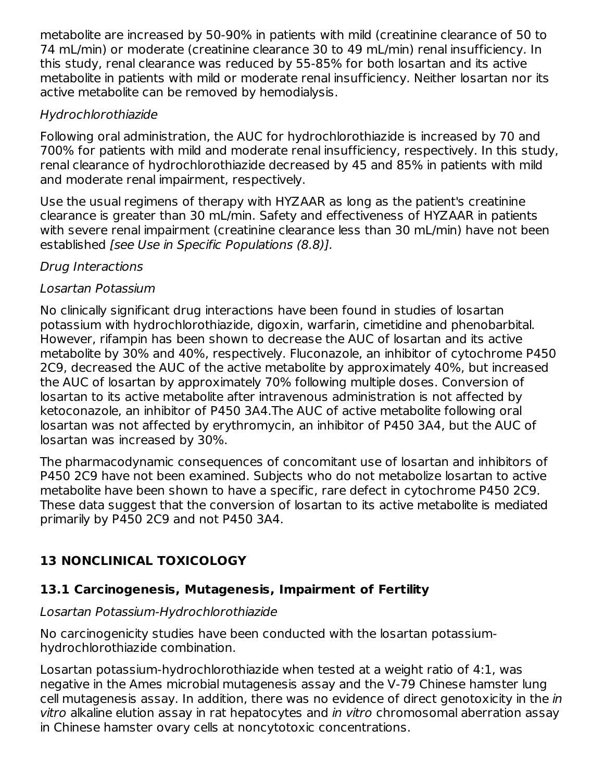metabolite are increased by 50-90% in patients with mild (creatinine clearance of 50 to 74 mL/min) or moderate (creatinine clearance 30 to 49 mL/min) renal insufficiency. In this study, renal clearance was reduced by 55-85% for both losartan and its active metabolite in patients with mild or moderate renal insufficiency. Neither losartan nor its active metabolite can be removed by hemodialysis.

#### Hydrochlorothiazide

Following oral administration, the AUC for hydrochlorothiazide is increased by 70 and 700% for patients with mild and moderate renal insufficiency, respectively. In this study, renal clearance of hydrochlorothiazide decreased by 45 and 85% in patients with mild and moderate renal impairment, respectively.

Use the usual regimens of therapy with HYZAAR as long as the patient's creatinine clearance is greater than 30 mL/min. Safety and effectiveness of HYZAAR in patients with severe renal impairment (creatinine clearance less than 30 mL/min) have not been established [see Use in Specific Populations (8.8)].

#### Drug Interactions

#### Losartan Potassium

No clinically significant drug interactions have been found in studies of losartan potassium with hydrochlorothiazide, digoxin, warfarin, cimetidine and phenobarbital. However, rifampin has been shown to decrease the AUC of losartan and its active metabolite by 30% and 40%, respectively. Fluconazole, an inhibitor of cytochrome P450 2C9, decreased the AUC of the active metabolite by approximately 40%, but increased the AUC of losartan by approximately 70% following multiple doses. Conversion of losartan to its active metabolite after intravenous administration is not affected by ketoconazole, an inhibitor of P450 3A4.The AUC of active metabolite following oral losartan was not affected by erythromycin, an inhibitor of P450 3A4, but the AUC of losartan was increased by 30%.

The pharmacodynamic consequences of concomitant use of losartan and inhibitors of P450 2C9 have not been examined. Subjects who do not metabolize losartan to active metabolite have been shown to have a specific, rare defect in cytochrome P450 2C9. These data suggest that the conversion of losartan to its active metabolite is mediated primarily by P450 2C9 and not P450 3A4.

## **13 NONCLINICAL TOXICOLOGY**

### **13.1 Carcinogenesis, Mutagenesis, Impairment of Fertility**

#### Losartan Potassium-Hydrochlorothiazide

No carcinogenicity studies have been conducted with the losartan potassiumhydrochlorothiazide combination.

Losartan potassium-hydrochlorothiazide when tested at a weight ratio of 4:1, was negative in the Ames microbial mutagenesis assay and the V-79 Chinese hamster lung cell mutagenesis assay. In addition, there was no evidence of direct genotoxicity in the in vitro alkaline elution assay in rat hepatocytes and in vitro chromosomal aberration assay in Chinese hamster ovary cells at noncytotoxic concentrations.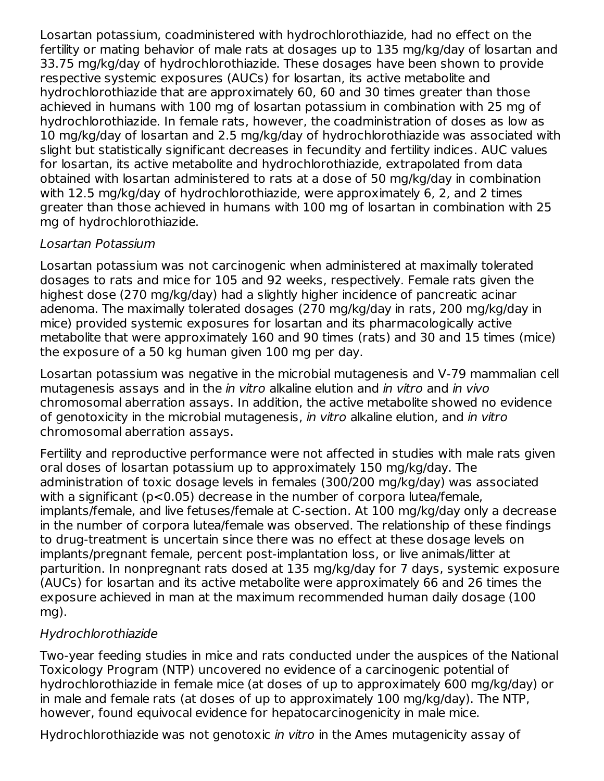Losartan potassium, coadministered with hydrochlorothiazide, had no effect on the fertility or mating behavior of male rats at dosages up to 135 mg/kg/day of losartan and 33.75 mg/kg/day of hydrochlorothiazide. These dosages have been shown to provide respective systemic exposures (AUCs) for losartan, its active metabolite and hydrochlorothiazide that are approximately 60, 60 and 30 times greater than those achieved in humans with 100 mg of losartan potassium in combination with 25 mg of hydrochlorothiazide. In female rats, however, the coadministration of doses as low as 10 mg/kg/day of losartan and 2.5 mg/kg/day of hydrochlorothiazide was associated with slight but statistically significant decreases in fecundity and fertility indices. AUC values for losartan, its active metabolite and hydrochlorothiazide, extrapolated from data obtained with losartan administered to rats at a dose of 50 mg/kg/day in combination with 12.5 mg/kg/day of hydrochlorothiazide, were approximately 6, 2, and 2 times greater than those achieved in humans with 100 mg of losartan in combination with 25 mg of hydrochlorothiazide.

#### Losartan Potassium

Losartan potassium was not carcinogenic when administered at maximally tolerated dosages to rats and mice for 105 and 92 weeks, respectively. Female rats given the highest dose (270 mg/kg/day) had a slightly higher incidence of pancreatic acinar adenoma. The maximally tolerated dosages (270 mg/kg/day in rats, 200 mg/kg/day in mice) provided systemic exposures for losartan and its pharmacologically active metabolite that were approximately 160 and 90 times (rats) and 30 and 15 times (mice) the exposure of a 50 kg human given 100 mg per day.

Losartan potassium was negative in the microbial mutagenesis and V-79 mammalian cell mutagenesis assays and in the *in vitro* alkaline elution and *in vitro* and *in vivo* chromosomal aberration assays. In addition, the active metabolite showed no evidence of genotoxicity in the microbial mutagenesis, in vitro alkaline elution, and in vitro chromosomal aberration assays.

Fertility and reproductive performance were not affected in studies with male rats given oral doses of losartan potassium up to approximately 150 mg/kg/day. The administration of toxic dosage levels in females (300/200 mg/kg/day) was associated with a significant (p<0.05) decrease in the number of corpora lutea/female, implants/female, and live fetuses/female at C-section. At 100 mg/kg/day only a decrease in the number of corpora lutea/female was observed. The relationship of these findings to drug-treatment is uncertain since there was no effect at these dosage levels on implants/pregnant female, percent post-implantation loss, or live animals/litter at parturition. In nonpregnant rats dosed at 135 mg/kg/day for 7 days, systemic exposure (AUCs) for losartan and its active metabolite were approximately 66 and 26 times the exposure achieved in man at the maximum recommended human daily dosage (100 mg).

#### Hydrochlorothiazide

Two-year feeding studies in mice and rats conducted under the auspices of the National Toxicology Program (NTP) uncovered no evidence of a carcinogenic potential of hydrochlorothiazide in female mice (at doses of up to approximately 600 mg/kg/day) or in male and female rats (at doses of up to approximately 100 mg/kg/day). The NTP, however, found equivocal evidence for hepatocarcinogenicity in male mice.

Hydrochlorothiazide was not genotoxic *in vitro* in the Ames mutagenicity assay of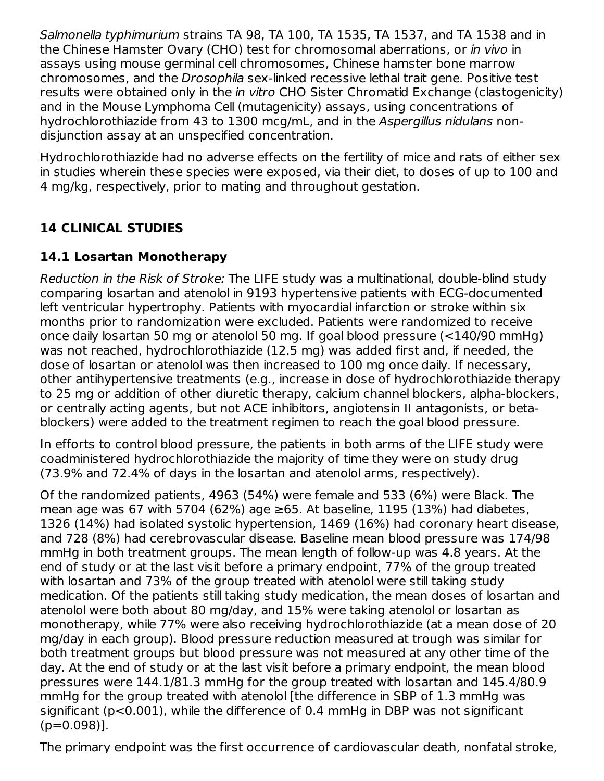Salmonella typhimurium strains TA 98, TA 100, TA 1535, TA 1537, and TA 1538 and in the Chinese Hamster Ovary (CHO) test for chromosomal aberrations, or in vivo in assays using mouse germinal cell chromosomes, Chinese hamster bone marrow chromosomes, and the Drosophila sex-linked recessive lethal trait gene. Positive test results were obtained only in the *in vitro* CHO Sister Chromatid Exchange (clastogenicity) and in the Mouse Lymphoma Cell (mutagenicity) assays, using concentrations of hydrochlorothiazide from 43 to 1300 mcg/mL, and in the Aspergillus nidulans nondisjunction assay at an unspecified concentration.

Hydrochlorothiazide had no adverse effects on the fertility of mice and rats of either sex in studies wherein these species were exposed, via their diet, to doses of up to 100 and 4 mg/kg, respectively, prior to mating and throughout gestation.

### **14 CLINICAL STUDIES**

#### **14.1 Losartan Monotherapy**

Reduction in the Risk of Stroke: The LIFE study was a multinational, double-blind study comparing losartan and atenolol in 9193 hypertensive patients with ECG-documented left ventricular hypertrophy. Patients with myocardial infarction or stroke within six months prior to randomization were excluded. Patients were randomized to receive once daily losartan 50 mg or atenolol 50 mg. If goal blood pressure (<140/90 mmHg) was not reached, hydrochlorothiazide (12.5 mg) was added first and, if needed, the dose of losartan or atenolol was then increased to 100 mg once daily. If necessary, other antihypertensive treatments (e.g., increase in dose of hydrochlorothiazide therapy to 25 mg or addition of other diuretic therapy, calcium channel blockers, alpha-blockers, or centrally acting agents, but not ACE inhibitors, angiotensin II antagonists, or betablockers) were added to the treatment regimen to reach the goal blood pressure.

In efforts to control blood pressure, the patients in both arms of the LIFE study were coadministered hydrochlorothiazide the majority of time they were on study drug (73.9% and 72.4% of days in the losartan and atenolol arms, respectively).

Of the randomized patients, 4963 (54%) were female and 533 (6%) were Black. The mean age was 67 with 5704 (62%) age  $\geq$ 65. At baseline, 1195 (13%) had diabetes, 1326 (14%) had isolated systolic hypertension, 1469 (16%) had coronary heart disease, and 728 (8%) had cerebrovascular disease. Baseline mean blood pressure was 174/98 mmHg in both treatment groups. The mean length of follow-up was 4.8 years. At the end of study or at the last visit before a primary endpoint, 77% of the group treated with losartan and 73% of the group treated with atenolol were still taking study medication. Of the patients still taking study medication, the mean doses of losartan and atenolol were both about 80 mg/day, and 15% were taking atenolol or losartan as monotherapy, while 77% were also receiving hydrochlorothiazide (at a mean dose of 20 mg/day in each group). Blood pressure reduction measured at trough was similar for both treatment groups but blood pressure was not measured at any other time of the day. At the end of study or at the last visit before a primary endpoint, the mean blood pressures were 144.1/81.3 mmHg for the group treated with losartan and 145.4/80.9 mmHg for the group treated with atenolol [the difference in SBP of 1.3 mmHg was significant (p<0.001), while the difference of 0.4 mmHg in DBP was not significant  $(p=0.098)$ ].

The primary endpoint was the first occurrence of cardiovascular death, nonfatal stroke,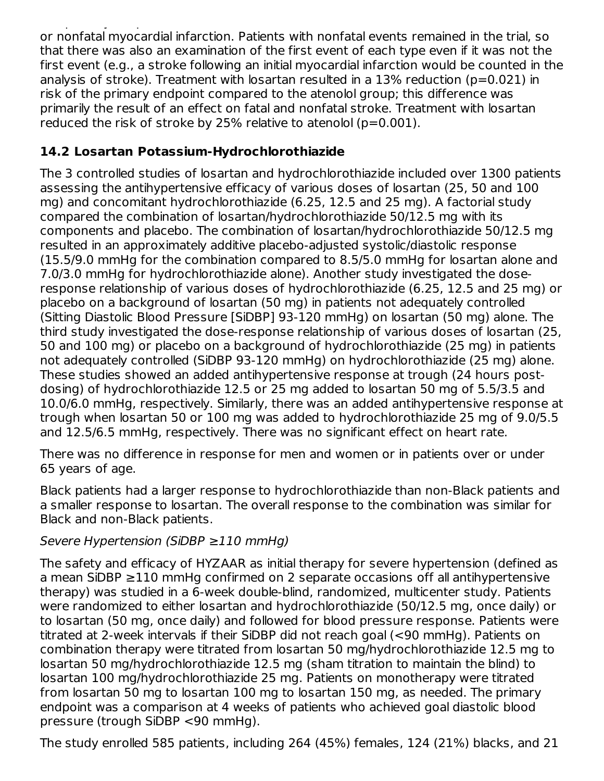The primary endpoint was the first occurrence of cardiovascular death, nonfatal stroke, or nonfatal myocardial infarction. Patients with nonfatal events remained in the trial, so that there was also an examination of the first event of each type even if it was not the first event (e.g., a stroke following an initial myocardial infarction would be counted in the analysis of stroke). Treatment with losartan resulted in a  $13\%$  reduction ( $p=0.021$ ) in risk of the primary endpoint compared to the atenolol group; this difference was primarily the result of an effect on fatal and nonfatal stroke. Treatment with losartan reduced the risk of stroke by 25% relative to atenolol ( $p=0.001$ ).

#### **14.2 Losartan Potassium-Hydrochlorothiazide**

The 3 controlled studies of losartan and hydrochlorothiazide included over 1300 patients assessing the antihypertensive efficacy of various doses of losartan (25, 50 and 100 mg) and concomitant hydrochlorothiazide (6.25, 12.5 and 25 mg). A factorial study compared the combination of losartan/hydrochlorothiazide 50/12.5 mg with its components and placebo. The combination of losartan/hydrochlorothiazide 50/12.5 mg resulted in an approximately additive placebo-adjusted systolic/diastolic response (15.5/9.0 mmHg for the combination compared to 8.5/5.0 mmHg for losartan alone and 7.0/3.0 mmHg for hydrochlorothiazide alone). Another study investigated the doseresponse relationship of various doses of hydrochlorothiazide (6.25, 12.5 and 25 mg) or placebo on a background of losartan (50 mg) in patients not adequately controlled (Sitting Diastolic Blood Pressure [SiDBP] 93-120 mmHg) on losartan (50 mg) alone. The third study investigated the dose-response relationship of various doses of losartan (25, 50 and 100 mg) or placebo on a background of hydrochlorothiazide (25 mg) in patients not adequately controlled (SiDBP 93-120 mmHg) on hydrochlorothiazide (25 mg) alone. These studies showed an added antihypertensive response at trough (24 hours postdosing) of hydrochlorothiazide 12.5 or 25 mg added to losartan 50 mg of 5.5/3.5 and 10.0/6.0 mmHg, respectively. Similarly, there was an added antihypertensive response at trough when losartan 50 or 100 mg was added to hydrochlorothiazide 25 mg of 9.0/5.5 and 12.5/6.5 mmHg, respectively. There was no significant effect on heart rate.

There was no difference in response for men and women or in patients over or under 65 years of age.

Black patients had a larger response to hydrochlorothiazide than non-Black patients and a smaller response to losartan. The overall response to the combination was similar for Black and non-Black patients.

#### Severe Hypertension (SiDBP ≥110 mmHg)

The safety and efficacy of HYZAAR as initial therapy for severe hypertension (defined as a mean SiDBP ≥110 mmHg confirmed on 2 separate occasions off all antihypertensive therapy) was studied in a 6-week double-blind, randomized, multicenter study. Patients were randomized to either losartan and hydrochlorothiazide (50/12.5 mg, once daily) or to losartan (50 mg, once daily) and followed for blood pressure response. Patients were titrated at 2-week intervals if their SiDBP did not reach goal (<90 mmHg). Patients on combination therapy were titrated from losartan 50 mg/hydrochlorothiazide 12.5 mg to losartan 50 mg/hydrochlorothiazide 12.5 mg (sham titration to maintain the blind) to losartan 100 mg/hydrochlorothiazide 25 mg. Patients on monotherapy were titrated from losartan 50 mg to losartan 100 mg to losartan 150 mg, as needed. The primary endpoint was a comparison at 4 weeks of patients who achieved goal diastolic blood pressure (trough SiDBP <90 mmHg).

The study enrolled 585 patients, including 264 (45%) females, 124 (21%) blacks, and 21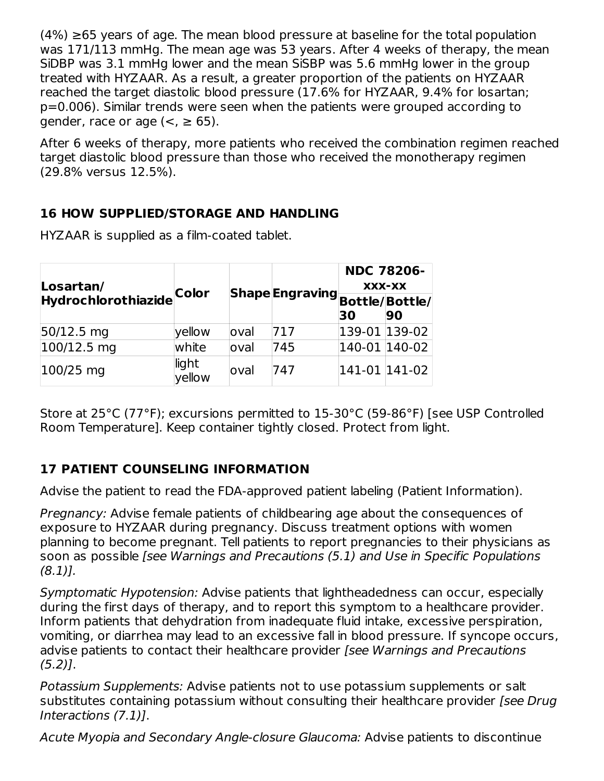$(4%) \geq 65$  years of age. The mean blood pressure at baseline for the total population was 171/113 mmHg. The mean age was 53 years. After 4 weeks of therapy, the mean SiDBP was 3.1 mmHg lower and the mean SiSBP was 5.6 mmHg lower in the group treated with HYZAAR. As a result, a greater proportion of the patients on HYZAAR reached the target diastolic blood pressure (17.6% for HYZAAR, 9.4% for losartan; p=0.006). Similar trends were seen when the patients were grouped according to gender, race or age  $(<, \geq 65)$ .

After 6 weeks of therapy, more patients who received the combination regimen reached target diastolic blood pressure than those who received the monotherapy regimen (29.8% versus 12.5%).

### **16 HOW SUPPLIED/STORAGE AND HANDLING**

| Losartan/<br>Hydrochlorothiazide Color |                 |       |     | <b>NDC 78206-</b><br> Shape Engraving <br> Bottle/ Bottle/ |    |  |
|----------------------------------------|-----------------|-------|-----|------------------------------------------------------------|----|--|
|                                        |                 |       |     | 30                                                         | 90 |  |
| $50/12.5$ mg                           | yellow          | loval | 717 | 139-01 139-02                                              |    |  |
| $100/12.5$ mg                          | white           | loval | 745 | 140-01 140-02                                              |    |  |
| $100/25$ mg                            | light<br>yellow | loval | 747 | 141-01 141-02                                              |    |  |

HYZAAR is supplied as a film-coated tablet.

Store at 25°C (77°F); excursions permitted to 15-30°C (59-86°F) [see USP Controlled Room Temperature]. Keep container tightly closed. Protect from light.

### **17 PATIENT COUNSELING INFORMATION**

Advise the patient to read the FDA-approved patient labeling (Patient Information).

Pregnancy: Advise female patients of childbearing age about the consequences of exposure to HYZAAR during pregnancy. Discuss treatment options with women planning to become pregnant. Tell patients to report pregnancies to their physicians as soon as possible [see Warnings and Precautions (5.1) and Use in Specific Populations (8.1)].

Symptomatic Hypotension: Advise patients that lightheadedness can occur, especially during the first days of therapy, and to report this symptom to a healthcare provider. Inform patients that dehydration from inadequate fluid intake, excessive perspiration, vomiting, or diarrhea may lead to an excessive fall in blood pressure. If syncope occurs, advise patients to contact their healthcare provider [see Warnings and Precautions  $(5.2)$ ].

Potassium Supplements: Advise patients not to use potassium supplements or salt substitutes containing potassium without consulting their healthcare provider [see Drug Interactions (7.1)].

Acute Myopia and Secondary Angle-closure Glaucoma: Advise patients to discontinue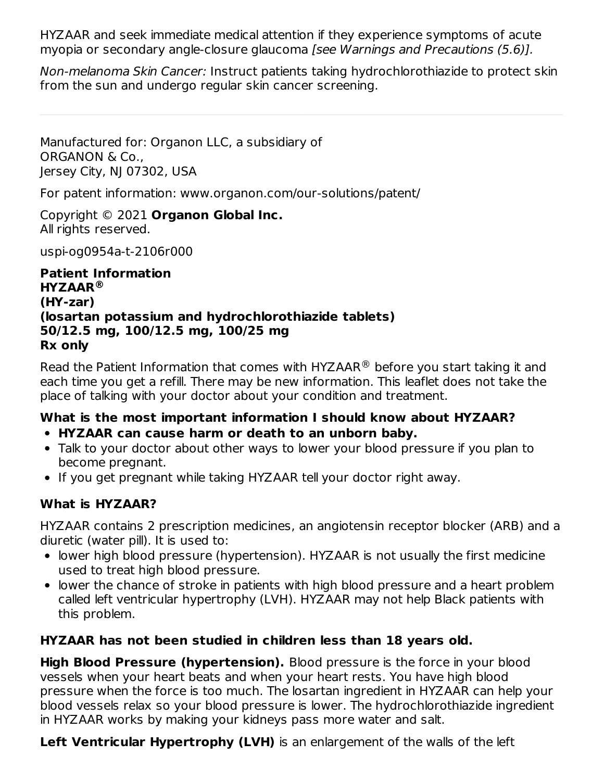HYZAAR and seek immediate medical attention if they experience symptoms of acute myopia or secondary angle-closure glaucoma [see Warnings and Precautions (5.6)].

Non-melanoma Skin Cancer: Instruct patients taking hydrochlorothiazide to protect skin from the sun and undergo regular skin cancer screening.

Manufactured for: Organon LLC, a subsidiary of ORGANON & Co., Jersey City, NJ 07302, USA

For patent information: www.organon.com/our-solutions/patent/

Copyright © 2021 **Organon Global Inc.** All rights reserved.

uspi-og0954a-t-2106r000

**Patient Information HYZAAR ® (HY-zar) (losartan potassium and hydrochlorothiazide tablets) 50/12.5 mg, 100/12.5 mg, 100/25 mg Rx only**

Read the Patient Information that comes with HYZAAR $^{\circledR}$  before you start taking it and each time you get a refill. There may be new information. This leaflet does not take the place of talking with your doctor about your condition and treatment.

## **What is the most important information I should know about HYZAAR?**

- **HYZAAR can cause harm or death to an unborn baby.**
- Talk to your doctor about other ways to lower your blood pressure if you plan to become pregnant.
- If you get pregnant while taking HYZAAR tell your doctor right away.

### **What is HYZAAR?**

HYZAAR contains 2 prescription medicines, an angiotensin receptor blocker (ARB) and a diuretic (water pill). It is used to:

- lower high blood pressure (hypertension). HYZAAR is not usually the first medicine used to treat high blood pressure.
- lower the chance of stroke in patients with high blood pressure and a heart problem called left ventricular hypertrophy (LVH). HYZAAR may not help Black patients with this problem.

### **HYZAAR has not been studied in children less than 18 years old.**

**High Blood Pressure (hypertension).** Blood pressure is the force in your blood vessels when your heart beats and when your heart rests. You have high blood pressure when the force is too much. The losartan ingredient in HYZAAR can help your blood vessels relax so your blood pressure is lower. The hydrochlorothiazide ingredient in HYZAAR works by making your kidneys pass more water and salt.

**Left Ventricular Hypertrophy (LVH)** is an enlargement of the walls of the left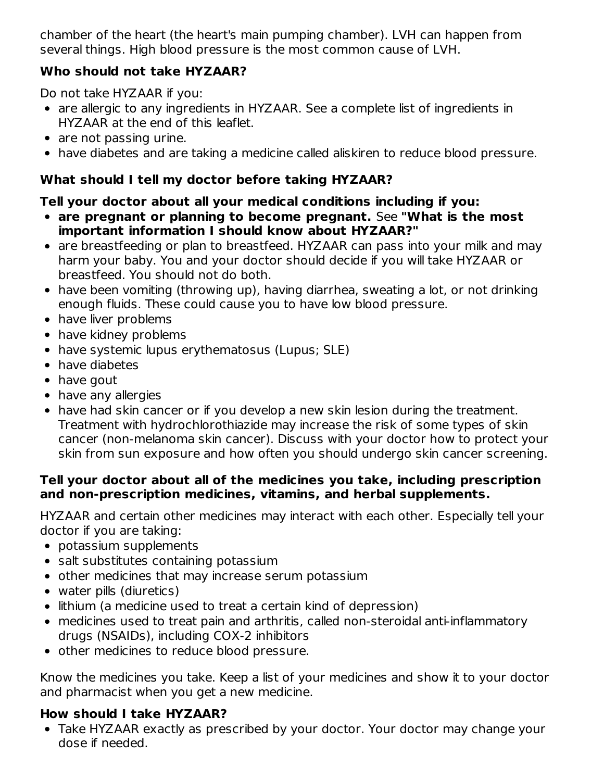chamber of the heart (the heart's main pumping chamber). LVH can happen from several things. High blood pressure is the most common cause of LVH.

#### **Who should not take HYZAAR?**

Do not take HYZAAR if you:

- are allergic to any ingredients in HYZAAR. See a complete list of ingredients in HYZAAR at the end of this leaflet.
- are not passing urine.
- have diabetes and are taking a medicine called aliskiren to reduce blood pressure.

#### **What should I tell my doctor before taking HYZAAR?**

#### **Tell your doctor about all your medical conditions including if you:**

- **are pregnant or planning to become pregnant.** See **"What is the most important information I should know about HYZAAR?"**
- are breastfeeding or plan to breastfeed. HYZAAR can pass into your milk and may harm your baby. You and your doctor should decide if you will take HYZAAR or breastfeed. You should not do both.
- have been vomiting (throwing up), having diarrhea, sweating a lot, or not drinking enough fluids. These could cause you to have low blood pressure.
- have liver problems
- have kidney problems
- have systemic lupus erythematosus (Lupus; SLE)
- have diabetes
- have gout
- have any allergies
- have had skin cancer or if you develop a new skin lesion during the treatment. Treatment with hydrochlorothiazide may increase the risk of some types of skin cancer (non-melanoma skin cancer). Discuss with your doctor how to protect your skin from sun exposure and how often you should undergo skin cancer screening.

#### **Tell your doctor about all of the medicines you take, including prescription and non-prescription medicines, vitamins, and herbal supplements.**

HYZAAR and certain other medicines may interact with each other. Especially tell your doctor if you are taking:

- potassium supplements
- salt substitutes containing potassium
- other medicines that may increase serum potassium
- water pills (diuretics)
- lithium (a medicine used to treat a certain kind of depression)
- medicines used to treat pain and arthritis, called non-steroidal anti-inflammatory drugs (NSAIDs), including COX-2 inhibitors
- other medicines to reduce blood pressure.

Know the medicines you take. Keep a list of your medicines and show it to your doctor and pharmacist when you get a new medicine.

### **How should I take HYZAAR?**

Take HYZAAR exactly as prescribed by your doctor. Your doctor may change your dose if needed.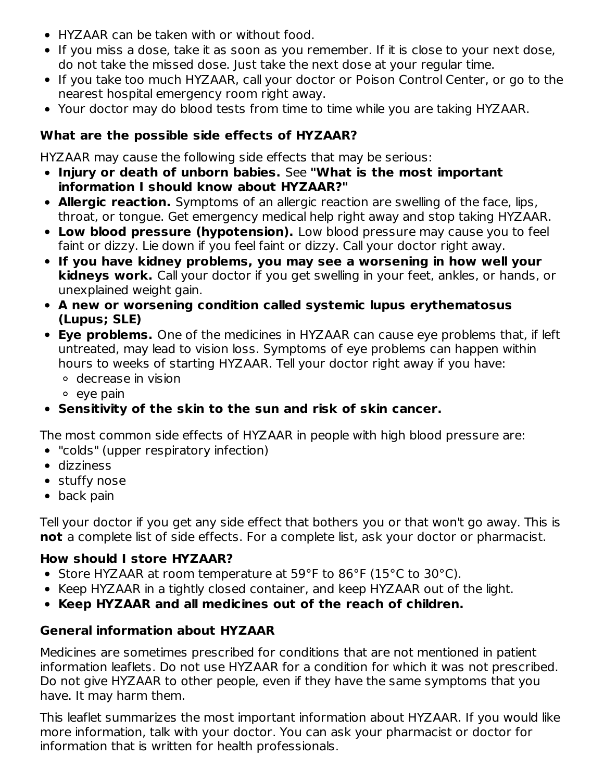- HYZAAR can be taken with or without food.
- If you miss a dose, take it as soon as you remember. If it is close to your next dose, do not take the missed dose. Just take the next dose at your regular time.
- If you take too much HYZAAR, call your doctor or Poison Control Center, or go to the nearest hospital emergency room right away.
- Your doctor may do blood tests from time to time while you are taking HYZAAR.

#### **What are the possible side effects of HYZAAR?**

HYZAAR may cause the following side effects that may be serious:

- **Injury or death of unborn babies.** See **"What is the most important information I should know about HYZAAR?"**
- **Allergic reaction.** Symptoms of an allergic reaction are swelling of the face, lips, throat, or tongue. Get emergency medical help right away and stop taking HYZAAR.
- **Low blood pressure (hypotension).** Low blood pressure may cause you to feel faint or dizzy. Lie down if you feel faint or dizzy. Call your doctor right away.
- **If you have kidney problems, you may see a worsening in how well your kidneys work.** Call your doctor if you get swelling in your feet, ankles, or hands, or unexplained weight gain.
- **A new or worsening condition called systemic lupus erythematosus (Lupus; SLE)**
- **Eye problems.** One of the medicines in HYZAAR can cause eye problems that, if left untreated, may lead to vision loss. Symptoms of eye problems can happen within hours to weeks of starting HYZAAR. Tell your doctor right away if you have:

decrease in vision

 $\circ$  eye pain

### **Sensitivity of the skin to the sun and risk of skin cancer.**

The most common side effects of HYZAAR in people with high blood pressure are:

- "colds" (upper respiratory infection)
- dizziness
- stuffy nose
- back pain

Tell your doctor if you get any side effect that bothers you or that won't go away. This is **not** a complete list of side effects. For a complete list, ask your doctor or pharmacist.

#### **How should I store HYZAAR?**

- Store HYZAAR at room temperature at 59°F to 86°F (15°C to 30°C).
- Keep HYZAAR in a tightly closed container, and keep HYZAAR out of the light.
- **Keep HYZAAR and all medicines out of the reach of children.**

### **General information about HYZAAR**

Medicines are sometimes prescribed for conditions that are not mentioned in patient information leaflets. Do not use HYZAAR for a condition for which it was not prescribed. Do not give HYZAAR to other people, even if they have the same symptoms that you have. It may harm them.

This leaflet summarizes the most important information about HYZAAR. If you would like more information, talk with your doctor. You can ask your pharmacist or doctor for information that is written for health professionals.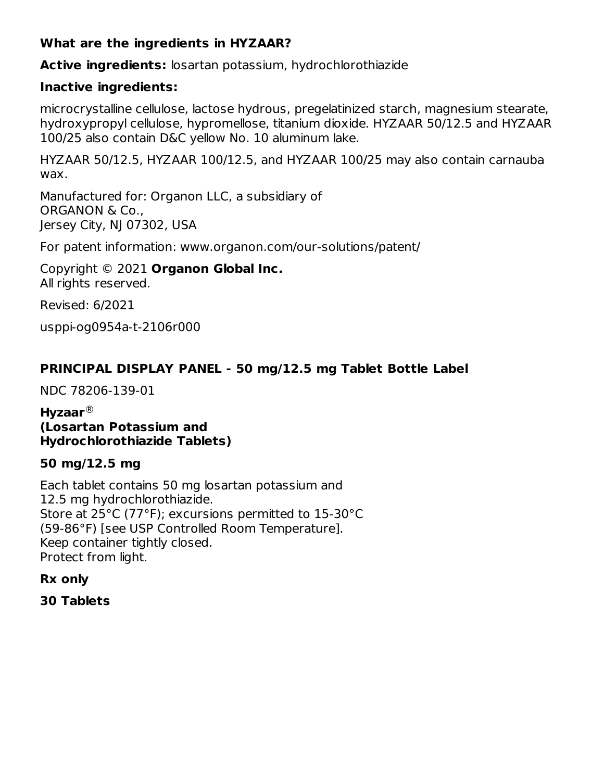#### **What are the ingredients in HYZAAR?**

**Active ingredients:** losartan potassium, hydrochlorothiazide

#### **Inactive ingredients:**

microcrystalline cellulose, lactose hydrous, pregelatinized starch, magnesium stearate, hydroxypropyl cellulose, hypromellose, titanium dioxide. HYZAAR 50/12.5 and HYZAAR 100/25 also contain D&C yellow No. 10 aluminum lake.

HYZAAR 50/12.5, HYZAAR 100/12.5, and HYZAAR 100/25 may also contain carnauba wax.

Manufactured for: Organon LLC, a subsidiary of ORGANON & Co., Jersey City, NJ 07302, USA

For patent information: www.organon.com/our-solutions/patent/

Copyright © 2021 **Organon Global Inc.** All rights reserved.

Revised: 6/2021

usppi-og0954a-t-2106r000

#### **PRINCIPAL DISPLAY PANEL - 50 mg/12.5 mg Tablet Bottle Label**

NDC 78206-139-01

**Hyzaar** ®**(Losartan Potassium and Hydrochlorothiazide Tablets)**

#### **50 mg/12.5 mg**

Each tablet contains 50 mg losartan potassium and 12.5 mg hydrochlorothiazide. Store at 25°C (77°F); excursions permitted to 15-30°C (59-86°F) [see USP Controlled Room Temperature]. Keep container tightly closed. Protect from light.

**Rx only**

**30 Tablets**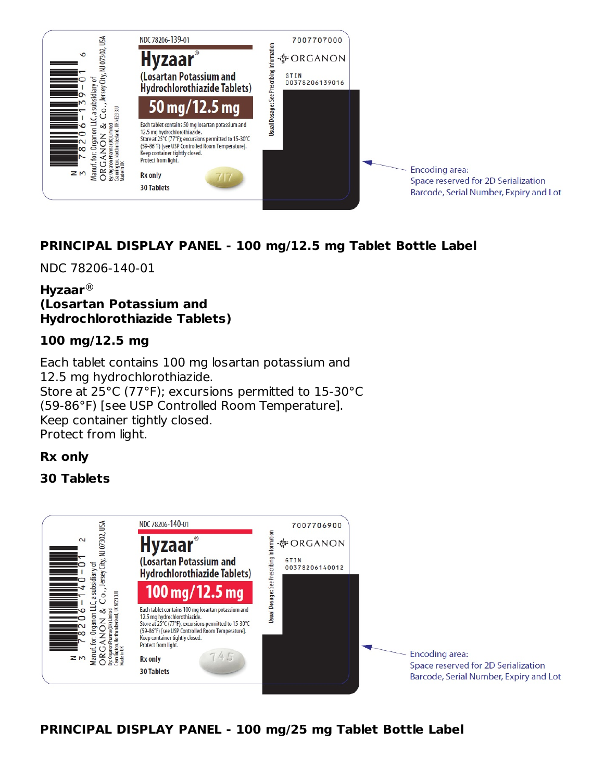

### **PRINCIPAL DISPLAY PANEL - 100 mg/12.5 mg Tablet Bottle Label**

NDC 78206-140-01

#### **Hyzaar** ®**(Losartan Potassium and Hydrochlorothiazide Tablets)**

#### **100 mg/12.5 mg**

Each tablet contains 100 mg losartan potassium and 12.5 mg hydrochlorothiazide. Store at 25°C (77°F); excursions permitted to 15-30°C (59-86°F) [see USP Controlled Room Temperature]. Keep container tightly closed. Protect from light.

#### **Rx only**

#### **30 Tablets**



**PRINCIPAL DISPLAY PANEL - 100 mg/25 mg Tablet Bottle Label**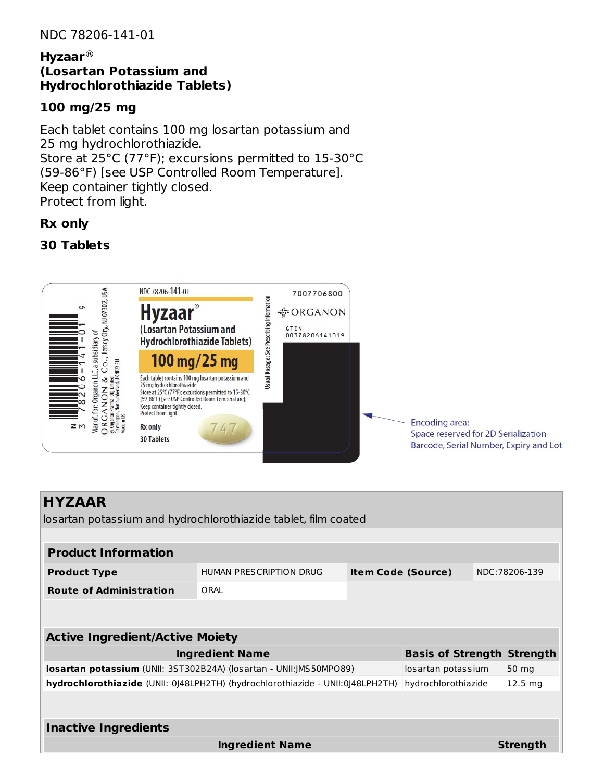#### **Hyzaar** ®**(Losartan Potassium and Hydrochlorothiazide Tablets)**

#### **100 mg/25 mg**

Each tablet contains 100 mg losartan potassium and 25 mg hydrochlorothiazide. Store at 25°C (77°F); excursions permitted to 15-30°C (59-86°F) [see USP Controlled Room Temperature]. Keep container tightly closed. Protect from light.

#### **Rx only**

#### **30 Tablets**



| <b>HYZAAR</b>                                                                  |                         |                           |                                   |  |                    |
|--------------------------------------------------------------------------------|-------------------------|---------------------------|-----------------------------------|--|--------------------|
| losartan potassium and hydrochlorothiazide tablet, film coated                 |                         |                           |                                   |  |                    |
|                                                                                |                         |                           |                                   |  |                    |
| <b>Product Information</b>                                                     |                         |                           |                                   |  |                    |
| <b>Product Type</b>                                                            | HUMAN PRESCRIPTION DRUG | <b>Item Code (Source)</b> |                                   |  | NDC: 78206-139     |
| <b>Route of Administration</b>                                                 | ORAI                    |                           |                                   |  |                    |
|                                                                                |                         |                           |                                   |  |                    |
|                                                                                |                         |                           |                                   |  |                    |
| <b>Active Ingredient/Active Moiety</b>                                         |                         |                           |                                   |  |                    |
|                                                                                | <b>Ingredient Name</b>  |                           | <b>Basis of Strength Strength</b> |  |                    |
| <b>losartan potassium</b> (UNII: 3ST302B24A) (losartan - UNII:JMS50MPO89)      |                         |                           | losartan potassium                |  | 50 mg              |
| hydrochlorothiazide (UNII: 0)48LPH2TH) (hydrochlorothiazide - UNII:0)48LPH2TH) |                         |                           | hydrochlorothiazide               |  | 12.5 <sub>mq</sub> |
|                                                                                |                         |                           |                                   |  |                    |
|                                                                                |                         |                           |                                   |  |                    |
| <b>Inactive Ingredients</b>                                                    |                         |                           |                                   |  |                    |
|                                                                                | <b>Ingredient Name</b>  |                           |                                   |  | <b>Strength</b>    |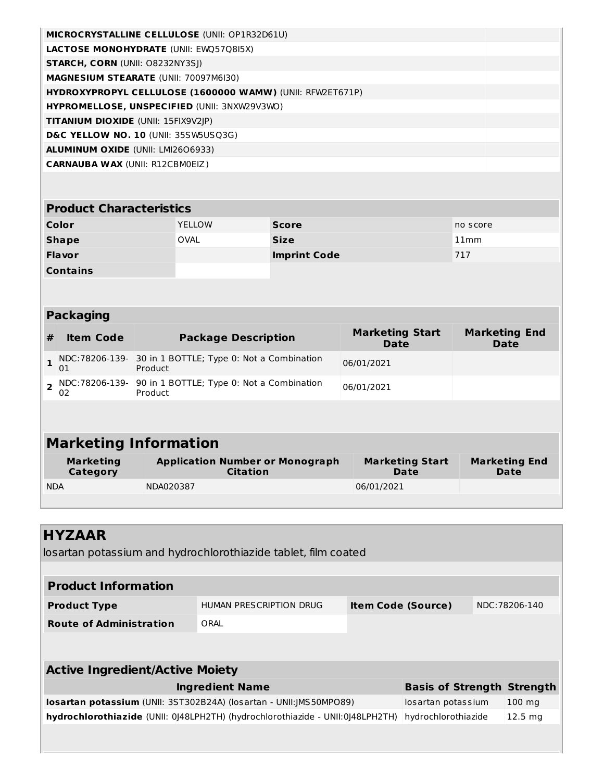| <b>MICROCRYSTALLINE CELLULOSE (UNII: OP1R32D61U)</b>             |  |
|------------------------------------------------------------------|--|
| <b>LACTOSE MONOHYDRATE (UNII: EWQ57Q8I5X)</b>                    |  |
| <b>STARCH, CORN (UNII: 08232NY3SI)</b>                           |  |
| <b>MAGNESIUM STEARATE (UNII: 70097M6I30)</b>                     |  |
| <b>HYDROXYPROPYL CELLULOSE (1600000 WAMW) (UNII: RFW2ET671P)</b> |  |
| <b>HYPROMELLOSE, UNSPECIFIED (UNII: 3NXW29V3WO)</b>              |  |
| <b>TITANIUM DIOXIDE (UNII: 15FIX9V2IP)</b>                       |  |
| D&C YELLOW NO. 10 (UNII: 35SW5USQ3G)                             |  |
| <b>ALUMINUM OXIDE (UNII: LMI2606933)</b>                         |  |
| <b>CARNAUBA WAX (UNII: R12CBM0EIZ)</b>                           |  |

| <b>Product Characteristics</b> |               |                     |          |  |  |  |
|--------------------------------|---------------|---------------------|----------|--|--|--|
| Color                          | <b>YELLOW</b> | <b>Score</b>        | no score |  |  |  |
| <b>Shape</b>                   | <b>OVAL</b>   | <b>Size</b>         | 11mm     |  |  |  |
| <b>Flavor</b>                  |               | <b>Imprint Code</b> | 717      |  |  |  |
| <b>Contains</b>                |               |                     |          |  |  |  |

#### **Packaging**

| <b>Item Code</b> | <b>Package Description</b>                                            | <b>Marketing Start</b><br><b>Date</b> | <b>Marketing End</b><br>Date |
|------------------|-----------------------------------------------------------------------|---------------------------------------|------------------------------|
| 01               | 1 NDC:78206-139- 30 in 1 BOTTLE; Type 0: Not a Combination<br>Product | 06/01/2021                            |                              |
| 02               | NDC:78206-139-   90 in 1 BOTTLE; Type 0: Not a Combination<br>Product | 06/01/2021                            |                              |

# **Marketing Information**

| Marketing  | <b>Application Number or Monograph</b> | <b>Marketing Start</b> | <b>Marketing End</b> |
|------------|----------------------------------------|------------------------|----------------------|
| Category   | <b>Citation</b>                        | Date                   | Date                 |
| <b>NDA</b> | NDA020387                              | 06/01/2021             |                      |

| <b>HYZAAR</b>                                                                                                       |  |                                                                                                                                                  |                           |                                                          |  |  |  |
|---------------------------------------------------------------------------------------------------------------------|--|--------------------------------------------------------------------------------------------------------------------------------------------------|---------------------------|----------------------------------------------------------|--|--|--|
|                                                                                                                     |  |                                                                                                                                                  |                           |                                                          |  |  |  |
|                                                                                                                     |  |                                                                                                                                                  |                           |                                                          |  |  |  |
|                                                                                                                     |  |                                                                                                                                                  |                           |                                                          |  |  |  |
|                                                                                                                     |  |                                                                                                                                                  |                           |                                                          |  |  |  |
| HUMAN PRESCRIPTION DRUG                                                                                             |  |                                                                                                                                                  |                           | NDC: 78206-140                                           |  |  |  |
| ORAL                                                                                                                |  |                                                                                                                                                  |                           |                                                          |  |  |  |
|                                                                                                                     |  |                                                                                                                                                  |                           |                                                          |  |  |  |
|                                                                                                                     |  |                                                                                                                                                  |                           |                                                          |  |  |  |
| <b>Active Ingredient/Active Moiety</b>                                                                              |  |                                                                                                                                                  |                           |                                                          |  |  |  |
| <b>Ingredient Name</b>                                                                                              |  |                                                                                                                                                  |                           |                                                          |  |  |  |
| <b>losartan potassium</b> (UNII: 3ST302B24A) (losartan - UNII:JMS50MPO89)<br>$100 \text{ ma}$<br>losartan potassium |  |                                                                                                                                                  |                           |                                                          |  |  |  |
|                                                                                                                     |  |                                                                                                                                                  |                           | $12.5 \text{ mg}$                                        |  |  |  |
|                                                                                                                     |  |                                                                                                                                                  |                           |                                                          |  |  |  |
|                                                                                                                     |  |                                                                                                                                                  |                           |                                                          |  |  |  |
|                                                                                                                     |  | losartan potassium and hydrochlorothiazide tablet, film coated<br>hydrochlorothiazide (UNII: 0)48LPH2TH) (hydrochlorothiazide - UNII:0)48LPH2TH) | <b>Item Code (Source)</b> | <b>Basis of Strength Strength</b><br>hydrochlorothiazide |  |  |  |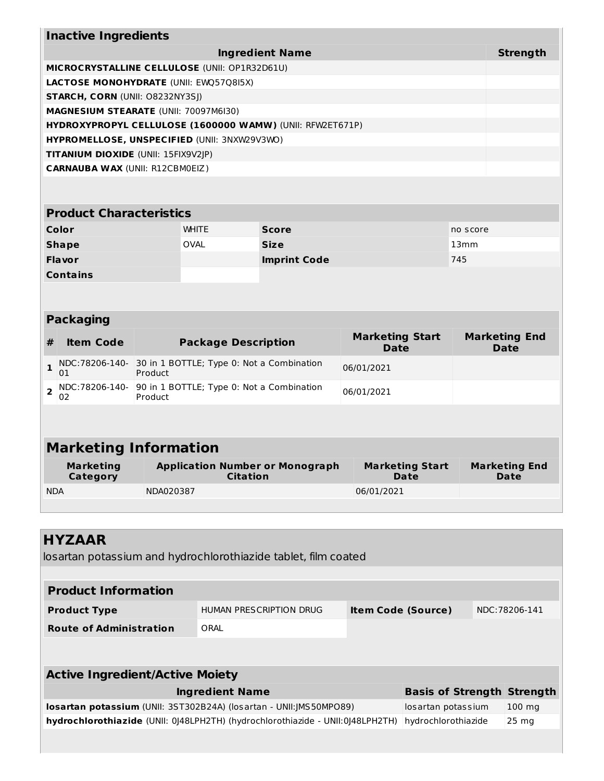| <b>Inactive Ingredients</b>                               |                                            |              |          |  |  |  |  |
|-----------------------------------------------------------|--------------------------------------------|--------------|----------|--|--|--|--|
| <b>Ingredient Name</b>                                    |                                            |              |          |  |  |  |  |
| MICROCRYSTALLINE CELLULOSE (UNII: OP1R32D61U)             |                                            |              |          |  |  |  |  |
| <b>LACTOSE MONOHYDRATE (UNII: EWQ57Q8I5X)</b>             |                                            |              |          |  |  |  |  |
| <b>STARCH, CORN (UNII: 08232NY3SI)</b>                    |                                            |              |          |  |  |  |  |
| <b>MAGNESIUM STEARATE (UNII: 70097M6I30)</b>              |                                            |              |          |  |  |  |  |
| HYDROXYPROPYL CELLULOSE (1600000 WAMW) (UNII: RFW2ET671P) |                                            |              |          |  |  |  |  |
| HYPROMELLOSE, UNSPECIFIED (UNII: 3NXW29V3WO)              |                                            |              |          |  |  |  |  |
|                                                           | <b>TITANIUM DIOXIDE (UNII: 15FIX9V2JP)</b> |              |          |  |  |  |  |
| <b>CARNAUBA WAX (UNII: R12CBM0EIZ)</b>                    |                                            |              |          |  |  |  |  |
|                                                           |                                            |              |          |  |  |  |  |
| <b>Product Characteristics</b>                            |                                            |              |          |  |  |  |  |
| Color                                                     | <b>WHITE</b>                               | <b>Score</b> | no score |  |  |  |  |
| <b>Shape</b>                                              | <b>OVAL</b>                                | <b>Size</b>  | 13mm     |  |  |  |  |

| <b>Flavor</b>   | <b>Imprint Code</b> | 745 |
|-----------------|---------------------|-----|
| <b>Contains</b> |                     |     |

# **Packaging**

| <b>Item Code</b> | <b>Package Description</b>                                            | <b>Marketing Start</b><br><b>Date</b> | <b>Marketing End</b><br><b>Date</b> |
|------------------|-----------------------------------------------------------------------|---------------------------------------|-------------------------------------|
| 01               | 1 NDC:78206-140- 30 in 1 BOTTLE; Type 0: Not a Combination<br>Product | 06/01/2021                            |                                     |
| 02               | NDC:78206-140- 90 in 1 BOTTLE; Type 0: Not a Combination<br>Product   | 06/01/2021                            |                                     |

# **Marketing Information**

| Marketing  | <b>Application Number or Monograph</b> | <b>Marketing Start</b> | <b>Marketing End</b> |
|------------|----------------------------------------|------------------------|----------------------|
| Category   | <b>Citation</b>                        | <b>Date</b>            | Date                 |
| <b>NDA</b> | NDA020387                              | 06/01/2021             |                      |

| <b>HYZAAR</b><br>losartan potassium and hydrochlorothiazide tablet, film coated |                         |                           |                                   |  |                  |  |  |  |  |
|---------------------------------------------------------------------------------|-------------------------|---------------------------|-----------------------------------|--|------------------|--|--|--|--|
|                                                                                 |                         |                           |                                   |  |                  |  |  |  |  |
| <b>Product Information</b>                                                      |                         |                           |                                   |  |                  |  |  |  |  |
| <b>Product Type</b>                                                             | HUMAN PRESCRIPTION DRUG | <b>Item Code (Source)</b> |                                   |  | NDC: 78206-141   |  |  |  |  |
| <b>Route of Administration</b>                                                  | ORAI                    |                           |                                   |  |                  |  |  |  |  |
|                                                                                 |                         |                           |                                   |  |                  |  |  |  |  |
|                                                                                 |                         |                           |                                   |  |                  |  |  |  |  |
| <b>Active Ingredient/Active Moiety</b>                                          |                         |                           |                                   |  |                  |  |  |  |  |
| <b>Ingredient Name</b>                                                          |                         |                           | <b>Basis of Strength Strength</b> |  |                  |  |  |  |  |
| <b>losartan potassium</b> (UNII: 3ST302B24A) (losartan - UNII:JMS50MPO89)       |                         |                           | losartan potassium                |  | $100 \text{ mg}$ |  |  |  |  |
| hydrochlorothiazide (UNII: 0)48LPH2TH) (hydrochlorothiazide - UNII:0)48LPH2TH)  |                         |                           | hydrochlorothiazide               |  | $25 \text{ mg}$  |  |  |  |  |
|                                                                                 |                         |                           |                                   |  |                  |  |  |  |  |